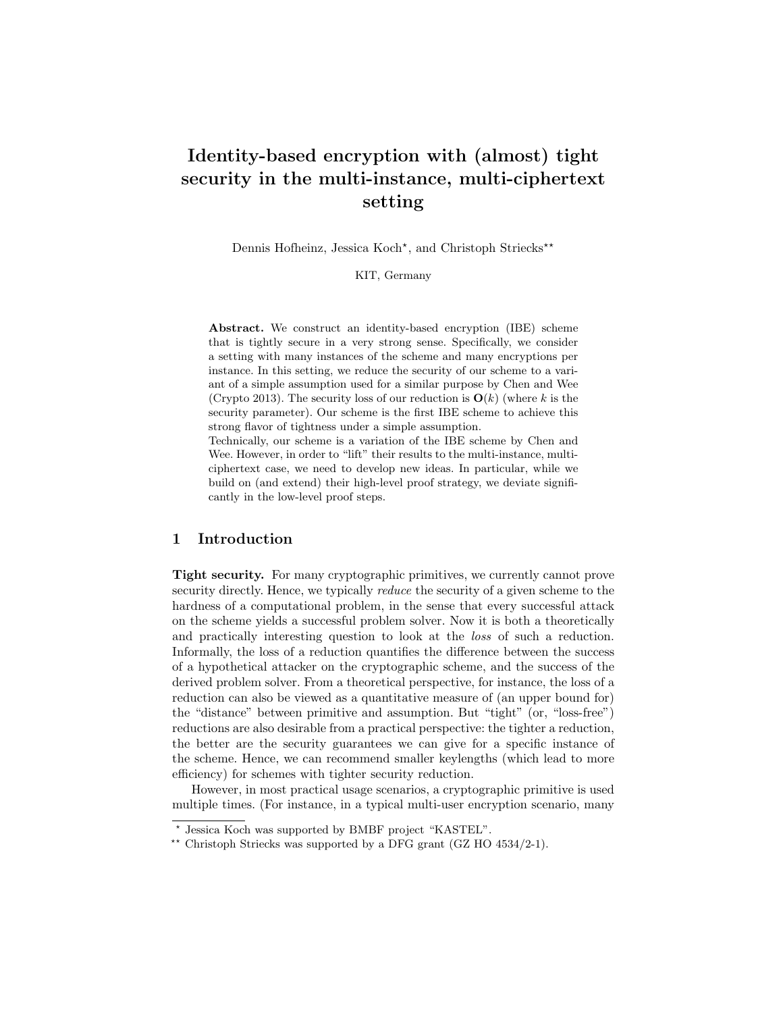# Identity-based encryption with (almost) tight security in the multi-instance, multi-ciphertext setting

Dennis Hofheinz, Jessica Koch<sup>\*</sup>, and Christoph Striecks<sup>\*\*</sup>

KIT, Germany

Abstract. We construct an identity-based encryption (IBE) scheme that is tightly secure in a very strong sense. Specifically, we consider a setting with many instances of the scheme and many encryptions per instance. In this setting, we reduce the security of our scheme to a variant of a simple assumption used for a similar purpose by Chen and Wee (Crypto 2013). The security loss of our reduction is  $O(k)$  (where k is the security parameter). Our scheme is the first IBE scheme to achieve this strong flavor of tightness under a simple assumption.

Technically, our scheme is a variation of the IBE scheme by Chen and Wee. However, in order to "lift" their results to the multi-instance, multiciphertext case, we need to develop new ideas. In particular, while we build on (and extend) their high-level proof strategy, we deviate significantly in the low-level proof steps.

#### 1 Introduction

Tight security. For many cryptographic primitives, we currently cannot prove security directly. Hence, we typically reduce the security of a given scheme to the hardness of a computational problem, in the sense that every successful attack on the scheme yields a successful problem solver. Now it is both a theoretically and practically interesting question to look at the loss of such a reduction. Informally, the loss of a reduction quantifies the difference between the success of a hypothetical attacker on the cryptographic scheme, and the success of the derived problem solver. From a theoretical perspective, for instance, the loss of a reduction can also be viewed as a quantitative measure of (an upper bound for) the "distance" between primitive and assumption. But "tight" (or, "loss-free") reductions are also desirable from a practical perspective: the tighter a reduction, the better are the security guarantees we can give for a specific instance of the scheme. Hence, we can recommend smaller keylengths (which lead to more efficiency) for schemes with tighter security reduction.

However, in most practical usage scenarios, a cryptographic primitive is used multiple times. (For instance, in a typical multi-user encryption scenario, many

<sup>?</sup> Jessica Koch was supported by BMBF project "KASTEL".

<sup>\*\*</sup> Christoph Striecks was supported by a DFG grant  $(GZ HO 4534/2-1)$ .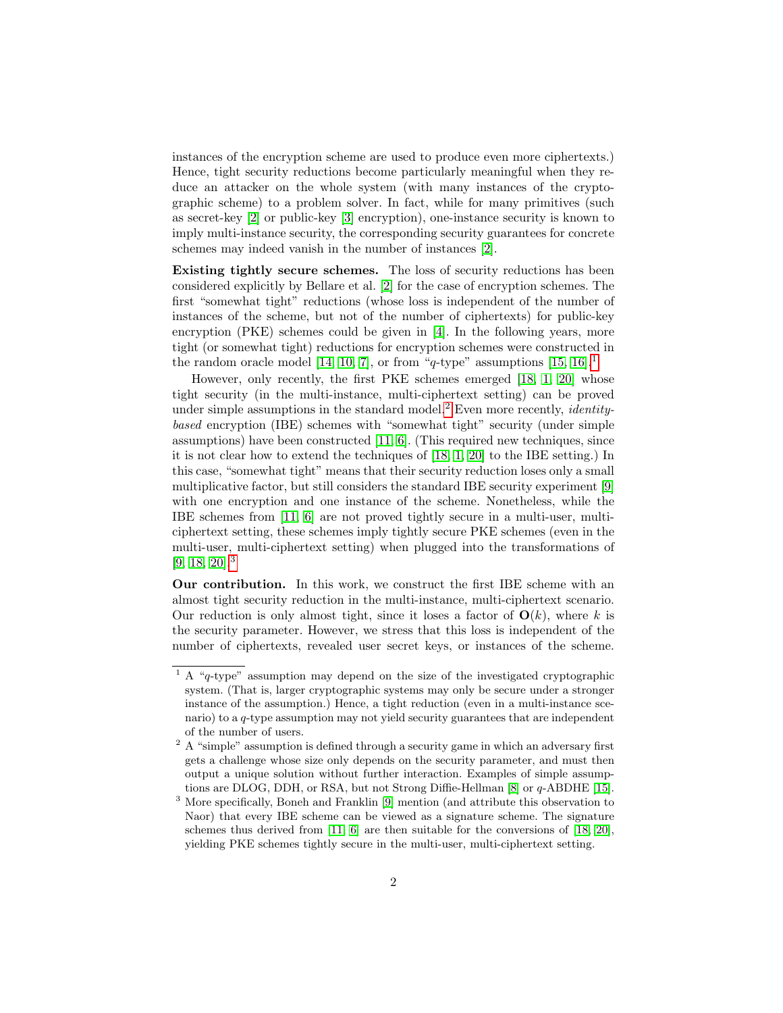instances of the encryption scheme are used to produce even more ciphertexts.) Hence, tight security reductions become particularly meaningful when they reduce an attacker on the whole system (with many instances of the cryptographic scheme) to a problem solver. In fact, while for many primitives (such as secret-key [\[2\]](#page-22-0) or public-key [\[3\]](#page-22-1) encryption), one-instance security is known to imply multi-instance security, the corresponding security guarantees for concrete schemes may indeed vanish in the number of instances [\[2\]](#page-22-0).

Existing tightly secure schemes. The loss of security reductions has been considered explicitly by Bellare et al. [\[2\]](#page-22-0) for the case of encryption schemes. The first "somewhat tight" reductions (whose loss is independent of the number of instances of the scheme, but not of the number of ciphertexts) for public-key encryption (PKE) schemes could be given in [\[4\]](#page-22-2). In the following years, more tight (or somewhat tight) reductions for encryption schemes were constructed in the random oracle model [\[14,](#page-23-0) [10,](#page-23-1) [7\]](#page-23-2), or from "q-type" assumptions [\[15,](#page-23-3) [16\]](#page-23-4).<sup>[1](#page-1-0)</sup>

However, only recently, the first PKE schemes emerged [\[18,](#page-23-5) [1,](#page-22-3) [20\]](#page-23-6) whose tight security (in the multi-instance, multi-ciphertext setting) can be proved under simple assumptions in the standard model.<sup>[2](#page-1-1)</sup> Even more recently, *identity*based encryption (IBE) schemes with "somewhat tight" security (under simple assumptions) have been constructed [\[11,](#page-23-7) [6\]](#page-22-4). (This required new techniques, since it is not clear how to extend the techniques of [\[18,](#page-23-5) [1,](#page-22-3) [20\]](#page-23-6) to the IBE setting.) In this case, "somewhat tight" means that their security reduction loses only a small multiplicative factor, but still considers the standard IBE security experiment [\[9\]](#page-23-8) with one encryption and one instance of the scheme. Nonetheless, while the IBE schemes from [\[11,](#page-23-7) [6\]](#page-22-4) are not proved tightly secure in a multi-user, multiciphertext setting, these schemes imply tightly secure PKE schemes (even in the multi-user, multi-ciphertext setting) when plugged into the transformations of [\[9,](#page-23-8) [18,](#page-23-5) [20\]](#page-23-6).[3](#page-1-2)

Our contribution. In this work, we construct the first IBE scheme with an almost tight security reduction in the multi-instance, multi-ciphertext scenario. Our reduction is only almost tight, since it loses a factor of  $O(k)$ , where k is the security parameter. However, we stress that this loss is independent of the number of ciphertexts, revealed user secret keys, or instances of the scheme.

<span id="page-1-0"></span><sup>&</sup>lt;sup>1</sup> A "q-type" assumption may depend on the size of the investigated cryptographic system. (That is, larger cryptographic systems may only be secure under a stronger instance of the assumption.) Hence, a tight reduction (even in a multi-instance scenario) to a q-type assumption may not yield security guarantees that are independent of the number of users.

<span id="page-1-1"></span> $^2$  A "simple" assumption is defined through a security game in which an adversary first gets a challenge whose size only depends on the security parameter, and must then output a unique solution without further interaction. Examples of simple assumptions are DLOG, DDH, or RSA, but not Strong Diffie-Hellman [\[8\]](#page-23-9) or q-ABDHE [\[15\]](#page-23-3).

<span id="page-1-2"></span><sup>3</sup> More specifically, Boneh and Franklin [\[9\]](#page-23-8) mention (and attribute this observation to Naor) that every IBE scheme can be viewed as a signature scheme. The signature schemes thus derived from [\[11,](#page-23-7) [6\]](#page-22-4) are then suitable for the conversions of [\[18,](#page-23-5) [20\]](#page-23-6), yielding PKE schemes tightly secure in the multi-user, multi-ciphertext setting.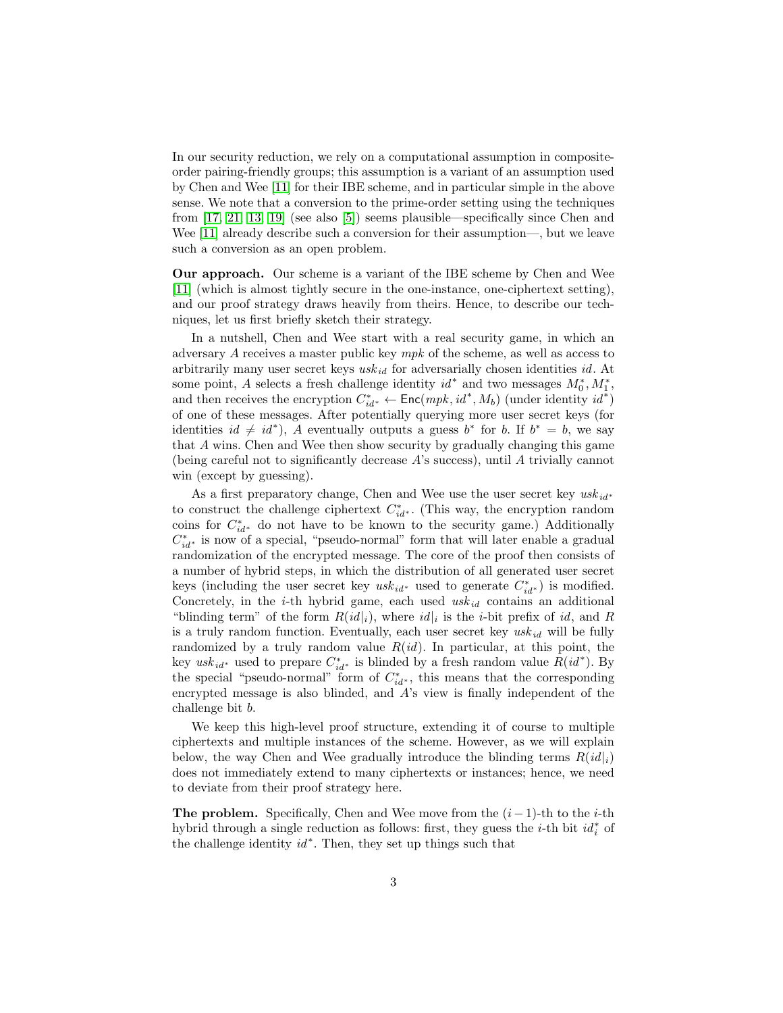In our security reduction, we rely on a computational assumption in compositeorder pairing-friendly groups; this assumption is a variant of an assumption used by Chen and Wee [\[11\]](#page-23-7) for their IBE scheme, and in particular simple in the above sense. We note that a conversion to the prime-order setting using the techniques from [\[17,](#page-23-10) [21,](#page-23-11) [13,](#page-23-12) [19\]](#page-23-13) (see also [\[5\]](#page-22-5)) seems plausible—specifically since Chen and Wee [\[11\]](#page-23-7) already describe such a conversion for their assumption—, but we leave such a conversion as an open problem.

Our approach. Our scheme is a variant of the IBE scheme by Chen and Wee [\[11\]](#page-23-7) (which is almost tightly secure in the one-instance, one-ciphertext setting), and our proof strategy draws heavily from theirs. Hence, to describe our techniques, let us first briefly sketch their strategy.

In a nutshell, Chen and Wee start with a real security game, in which an adversary A receives a master public key mpk of the scheme, as well as access to arbitrarily many user secret keys  $usk_{id}$  for adversarially chosen identities id. At some point, A selects a fresh challenge identity  $id^*$  and two messages  $M_0^*, M_1^*$ , and then receives the encryption  $C_{id}^* \leftarrow \text{Enc}(\text{mpk}, \text{id}^*, M_b)$  (under identity  $\text{id}^*$ ) of one of these messages. After potentially querying more user secret keys (for identities  $id \neq id^*$ , A eventually outputs a guess  $b^*$  for b. If  $b^* = b$ , we say that A wins. Chen and Wee then show security by gradually changing this game (being careful not to significantly decrease A's success), until A trivially cannot win (except by guessing).

As a first preparatory change, Chen and Wee use the user secret key  $usk_{id*}$ to construct the challenge ciphertext  $C_{id}^*$ . (This way, the encryption random coins for  $C_{id^*}^*$  do not have to be known to the security game.) Additionally  $C_{id}^*$  is now of a special, "pseudo-normal" form that will later enable a gradual randomization of the encrypted message. The core of the proof then consists of a number of hybrid steps, in which the distribution of all generated user secret keys (including the user secret key  $usk_{id^*}$  used to generate  $C_{id^*}^*$ ) is modified. Concretely, in the *i*-th hybrid game, each used  $usk_{id}$  contains an additional "blinding term" of the form  $R(id|_i)$ , where  $id|_i$  is the *i*-bit prefix of *id*, and R is a truly random function. Eventually, each user secret key  $usk_{id}$  will be fully randomized by a truly random value  $R(id)$ . In particular, at this point, the key  $usk_{id}^*$  used to prepare  $C_{id}^*$  is blinded by a fresh random value  $R(id^*)$ . By the special "pseudo-normal" form of  $C_{id}^*$ , this means that the corresponding encrypted message is also blinded, and A's view is finally independent of the challenge bit b.

We keep this high-level proof structure, extending it of course to multiple ciphertexts and multiple instances of the scheme. However, as we will explain below, the way Chen and Wee gradually introduce the blinding terms  $R(id|_i)$ does not immediately extend to many ciphertexts or instances; hence, we need to deviate from their proof strategy here.

**The problem.** Specifically, Chen and Wee move from the  $(i-1)$ -th to the *i*-th hybrid through a single reduction as follows: first, they guess the *i*-th bit  $id_i^*$  of the challenge identity  $id^*$ . Then, they set up things such that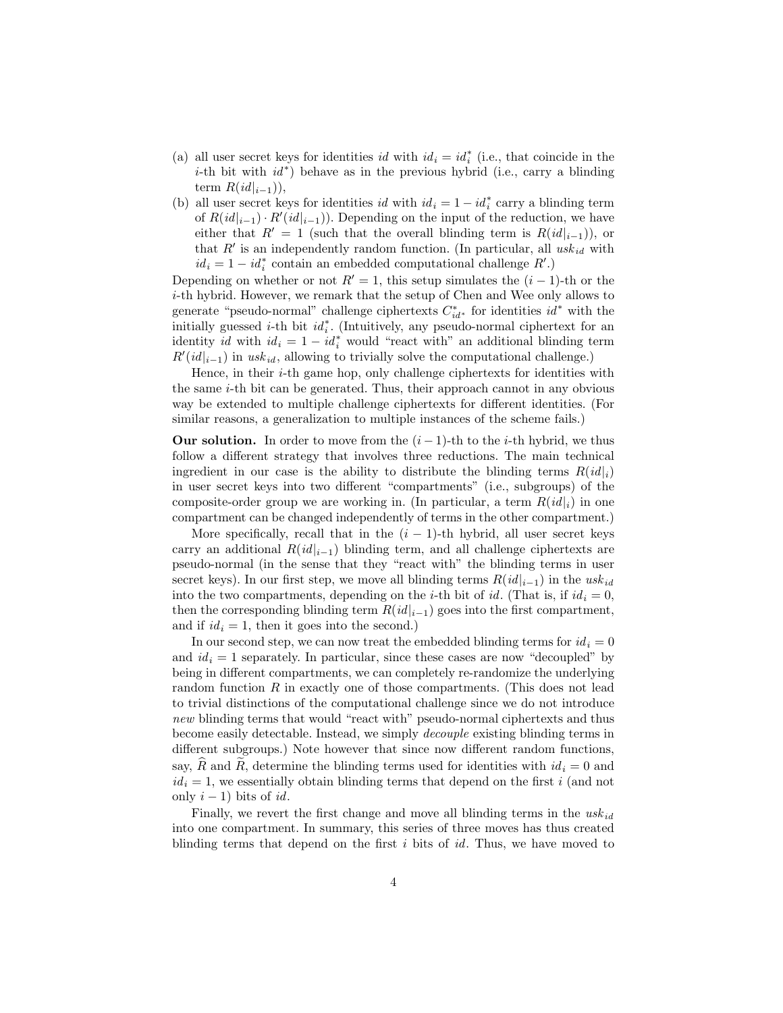- (a) all user secret keys for identities  $id$  with  $id_i = id_i^*$  (i.e., that coincide in the i-th bit with  $id^*$ ) behave as in the previous hybrid (i.e., carry a blinding term  $R(id|_{i-1})$ ,
- (b) all user secret keys for identities  $id$  with  $id_i = 1 id_i^*$  carry a blinding term of  $R(id|_{i-1}) \cdot R'(id|_{i-1})$ . Depending on the input of the reduction, we have either that  $R' = 1$  (such that the overall blinding term is  $R(id|_{i-1})$ ), or that  $R'$  is an independently random function. (In particular, all  $usk_{id}$  with  $id_i = 1 - id_i^*$  contain an embedded computational challenge  $R'.$

Depending on whether or not  $R' = 1$ , this setup simulates the  $(i - 1)$ -th or the i-th hybrid. However, we remark that the setup of Chen and Wee only allows to generate "pseudo-normal" challenge ciphertexts  $C_{id}^*$  for identities  $id^*$  with the initially guessed *i*-th bit  $id_i^*$ . (Intuitively, any pseudo-normal ciphertext for an identity id with  $id_i = 1 - id_i^*$  would "react with" an additional blinding term  $R'(id|_{i-1})$  in usk<sub>id</sub>, allowing to trivially solve the computational challenge.)

Hence, in their  $i$ -th game hop, only challenge ciphertexts for identities with the same i-th bit can be generated. Thus, their approach cannot in any obvious way be extended to multiple challenge ciphertexts for different identities. (For similar reasons, a generalization to multiple instances of the scheme fails.)

**Our solution.** In order to move from the  $(i-1)$ -th to the *i*-th hybrid, we thus follow a different strategy that involves three reductions. The main technical ingredient in our case is the ability to distribute the blinding terms  $R(id|_i)$ in user secret keys into two different "compartments" (i.e., subgroups) of the composite-order group we are working in. (In particular, a term  $R(id|_i)$  in one compartment can be changed independently of terms in the other compartment.)

More specifically, recall that in the  $(i - 1)$ -th hybrid, all user secret keys carry an additional  $R(id|_{i-1})$  blinding term, and all challenge ciphertexts are pseudo-normal (in the sense that they "react with" the blinding terms in user secret keys). In our first step, we move all blinding terms  $R(id|_{i-1})$  in the usk<sub>id</sub> into the two compartments, depending on the *i*-th bit of *id*. (That is, if  $id_i = 0$ , then the corresponding blinding term  $R(id|_{i-1})$  goes into the first compartment, and if  $id_i = 1$ , then it goes into the second.)

In our second step, we can now treat the embedded blinding terms for  $id_i = 0$ and  $id_i = 1$  separately. In particular, since these cases are now "decoupled" by being in different compartments, we can completely re-randomize the underlying random function R in exactly one of those compartments. (This does not lead to trivial distinctions of the computational challenge since we do not introduce new blinding terms that would "react with" pseudo-normal ciphertexts and thus become easily detectable. Instead, we simply decouple existing blinding terms in different subgroups.) Note however that since now different random functions, say,  $\widehat{R}$  and  $\widetilde{R}$ , determine the blinding terms used for identities with  $id_i = 0$  and  $id_i = 1$ , we essentially obtain blinding terms that depend on the first i (and not only  $i - 1$ ) bits of id.

Finally, we revert the first change and move all blinding terms in the  $usk_{id}$ into one compartment. In summary, this series of three moves has thus created blinding terms that depend on the first  $i$  bits of  $id$ . Thus, we have moved to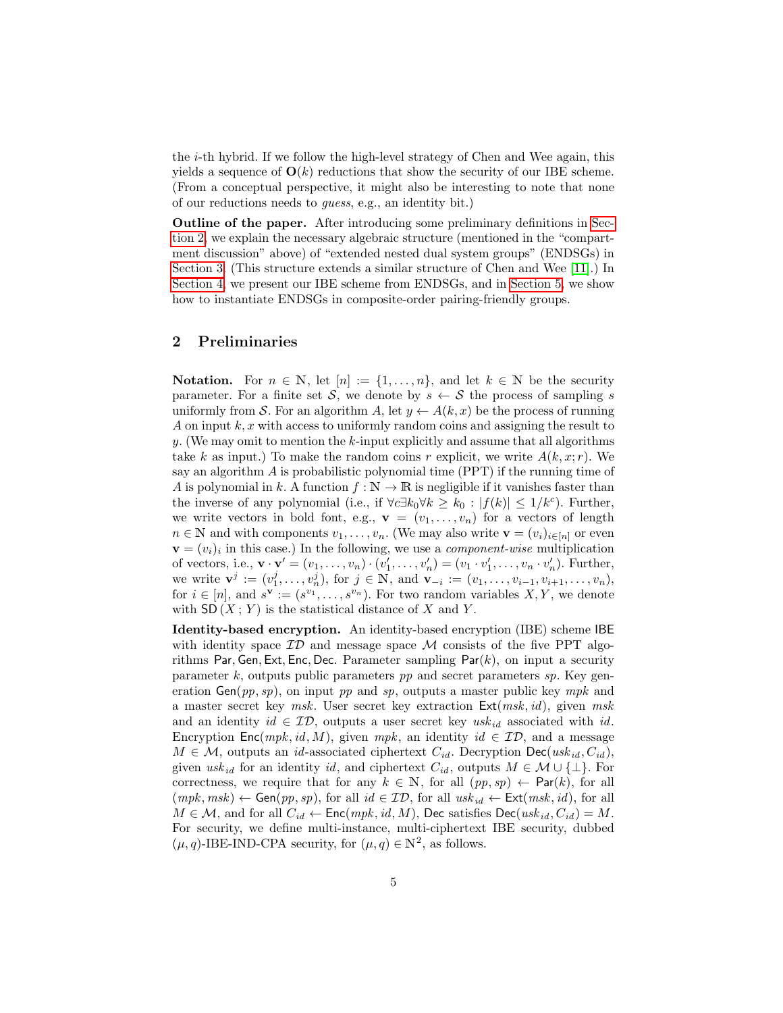the i-th hybrid. If we follow the high-level strategy of Chen and Wee again, this yields a sequence of  $O(k)$  reductions that show the security of our IBE scheme. (From a conceptual perspective, it might also be interesting to note that none of our reductions needs to guess, e.g., an identity bit.)

Outline of the paper. After introducing some preliminary definitions in [Sec](#page-4-0)[tion 2,](#page-4-0) we explain the necessary algebraic structure (mentioned in the "compartment discussion" above) of "extended nested dual system groups" (ENDSGs) in [Section 3.](#page-5-0) (This structure extends a similar structure of Chen and Wee [\[11\]](#page-23-7).) In [Section 4,](#page-8-0) we present our IBE scheme from ENDSGs, and in [Section 5,](#page-17-0) we show how to instantiate ENDSGs in composite-order pairing-friendly groups.

## <span id="page-4-0"></span>2 Preliminaries

**Notation.** For  $n \in \mathbb{N}$ , let  $[n] := \{1, \ldots, n\}$ , and let  $k \in \mathbb{N}$  be the security parameter. For a finite set S, we denote by  $s \leftarrow S$  the process of sampling s uniformly from S. For an algorithm A, let  $y \leftarrow A(k, x)$  be the process of running A on input  $k, x$  with access to uniformly random coins and assigning the result to y. (We may omit to mention the  $k$ -input explicitly and assume that all algorithms take k as input.) To make the random coins r explicit, we write  $A(k, x; r)$ . We say an algorithm  $\tilde{A}$  is probabilistic polynomial time (PPT) if the running time of A is polynomial in k. A function  $f : \mathbb{N} \to \mathbb{R}$  is negligible if it vanishes faster than the inverse of any polynomial (i.e., if  $\forall c \exists k_0 \forall k \geq k_0 : |f(k)| \leq 1/k^c$ ). Further, we write vectors in bold font, e.g.,  $\mathbf{v} = (v_1, \ldots, v_n)$  for a vectors of length  $n \in \mathbb{N}$  and with components  $v_1, \ldots, v_n$ . (We may also write  $\mathbf{v} = (v_i)_{i \in [n]}$  or even  $\mathbf{v} = (v_i)_i$  in this case.) In the following, we use a *component-wise* multiplication of vectors, i.e.,  $\mathbf{v} \cdot \mathbf{v}' = (v_1, \dots, v_n) \cdot (v'_1, \dots, v'_n) = (v_1 \cdot v'_1, \dots, v_n \cdot v'_n)$ . Further, we write  $\mathbf{v}^j := (v_1^j, \ldots, v_n^j)$ , for  $j \in \mathbb{N}$ , and  $\mathbf{v}_{-i} := (v_1, \ldots, v_{i-1}, v_{i+1}, \ldots, v_n)$ , for  $i \in [n]$ , and  $s^{\mathbf{v}} := (s^{v_1}, \ldots, s^{v_n})$ . For two random variables  $X, Y$ , we denote with  $SD(X; Y)$  is the statistical distance of X and Y.

Identity-based encryption. An identity-based encryption (IBE) scheme IBE with identity space  $ID$  and message space M consists of the five PPT algorithms Par, Gen, Ext, Enc, Dec. Parameter sampling  $Par(k)$ , on input a security parameter  $k$ , outputs public parameters  $pp$  and secret parameters  $sp$ . Key generation  $Gen(pp, sp)$ , on input pp and sp, outputs a master public key mpk and a master secret key msk. User secret key extraction  $Ext(msk, id)$ , given msk and an identity  $id \in \mathcal{ID}$ , outputs a user secret key usk<sub>id</sub> associated with id. Encryption Enc(mpk, id, M), given mpk, an identity id  $\in \mathcal{ID}$ , and a message  $M \in \mathcal{M}$ , outputs an *id*-associated ciphertext  $C_{id}$ . Decryption Dec(usk<sub>id</sub>,  $C_{id}$ ), given usk<sub>id</sub> for an identity id, and ciphertext  $C_{id}$ , outputs  $M \in \mathcal{M} \cup \{\perp\}$ . For correctness, we require that for any  $k \in \mathbb{N}$ , for all  $(pp, sp) \leftarrow \mathsf{Par}(k)$ , for all  $(mpk, msk) \leftarrow Gen(pp, sp)$ , for all  $id \in ID$ , for all  $usk_{id} \leftarrow Ext(msk, id)$ , for all  $M \in \mathcal{M}$ , and for all  $C_{id} \leftarrow \mathsf{Enc}(mpk, id, M)$ , Dec satisfies  $\mathsf{Dec}(usk_{id}, C_{id}) = M$ . For security, we define multi-instance, multi-ciphertext IBE security, dubbed  $(\mu, q)$ -IBE-IND-CPA security, for  $(\mu, q) \in \mathbb{N}^2$ , as follows.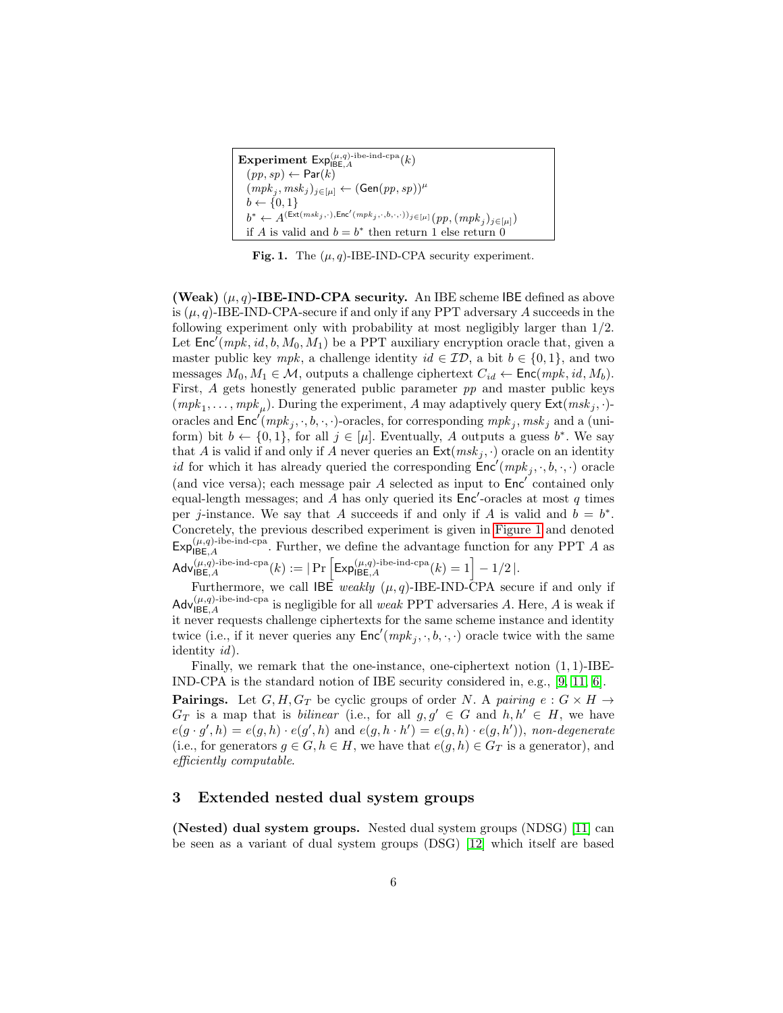| Experiment $Exp_{BECA}^{(\mu,q)\text{-ibe-ind-cpa}}(k)$                                                                                            |
|----------------------------------------------------------------------------------------------------------------------------------------------------|
| $(pp,sp) \leftarrow Par(k)$                                                                                                                        |
| $(mpk_j, msk_j)_{j \in [\mu]} \leftarrow (\mathsf{Gen}(pp, sp))^{\mu}$                                                                             |
| $b \leftarrow \{0, 1\}$                                                                                                                            |
| $b^* \leftarrow A^{(\mathrm{Ext} (msk_j, \cdot), \mathrm{Enc}' (mpk_j, \cdot, b, \cdot, \cdot))_j \in [\mu]} \big(p p, (mpk_j)_{j \in [\mu]}\big)$ |
| if A is valid and $b = b^*$ then return 1 else return 0                                                                                            |

<span id="page-5-1"></span>Fig. 1. The  $(\mu, q)$ -IBE-IND-CPA security experiment.

(Weak)  $(\mu, q)$ -IBE-IND-CPA security. An IBE scheme IBE defined as above is  $(\mu, q)$ -IBE-IND-CPA-secure if and only if any PPT adversary A succeeds in the following experiment only with probability at most negligibly larger than 1/2. Let  $\mathsf{Enc}^{\prime}(mpk, id, b, M_0, M_1)$  be a PPT auxiliary encryption oracle that, given a master public key mpk, a challenge identity  $id \in \mathcal{ID}$ , a bit  $b \in \{0, 1\}$ , and two messages  $M_0, M_1 \in \mathcal{M}$ , outputs a challenge ciphertext  $C_{id} \leftarrow \text{Enc}(mpk, id, M_b)$ . First, A gets honestly generated public parameter pp and master public keys  $(mpk_1, \ldots, mpk_\mu)$ . During the experiment, A may adaptively query  $\textsf{Ext}(msk_j, \cdot)$ oracles and  $\mathsf{Enc}'(mpk_j, \cdot, b, \cdot, \cdot)$ -oracles, for corresponding  $mpk_j, msk_j$  and a (uniform) bit  $b \leftarrow \{0,1\}$ , for all  $j \in [\mu]$ . Eventually, A outputs a guess  $b^*$ . We say that A is valid if and only if A never queries an  $\textsf{Ext}(msk_i, \cdot)$  oracle on an identity id for which it has already queried the corresponding  $\text{Enc}'(mpk_j, \cdot, b, \cdot, \cdot)$  oracle (and vice versa); each message pair  $A$  selected as input to  $Enc'$  contained only equal-length messages; and A has only queried its  $Enc'$ -oracles at most q times per j-instance. We say that A succeeds if and only if A is valid and  $b = b^*$ . Concretely, the previous described experiment is given in [Figure 1](#page-5-1) and denoted  $\mathsf{Exp}_{\mathsf{IBE}, A}^{(\mu, q)\text{-}\mathrm{ibe}\text{-}\mathrm{ind}\text{-}\mathrm{cpa}}$ . Further, we define the advantage function for any PPT A as  $\mathsf{Adv}_{\mathsf{IBE}, A}^{(\mu, q)\text{-ibe-ind-cpa}}(k) := \vert \Pr\left[\mathsf{Exp}_{\mathsf{IBE}, A}^{(\mu, q)\text{-ibe-ind-cpa}}(k) = 1\right] - 1/2 \,\vert.$ 

Furthermore, we call  $\overrightarrow{IBE}$  weakly  $(\mu, q)$ -IBE-IND-CPA secure if and only if  $\mathsf{Adv}_{\mathsf{IBE}, A}^{(\mu, q)\text{-}\mathrm{ibe}\text{-}\mathrm{ind}\text{-}\mathrm{cpa}}$  is negligible for all *weak* PPT adversaries A. Here, A is weak if it never requests challenge ciphertexts for the same scheme instance and identity twice (i.e., if it never queries any  $\textsf{Enc}'(mpk_j, \cdot, b, \cdot, \cdot)$  oracle twice with the same identity id).

Finally, we remark that the one-instance, one-ciphertext notion  $(1, 1)$ -IBE-IND-CPA is the standard notion of IBE security considered in, e.g., [\[9,](#page-23-8) [11,](#page-23-7) [6\]](#page-22-4).

**Pairings.** Let  $G, H, G_T$  be cyclic groups of order N. A pairing  $e : G \times H \rightarrow$  $G_T$  is a map that is *bilinear* (i.e., for all  $g, g' \in G$  and  $h, h' \in H$ , we have  $e(g \cdot g', h) = e(g, h) \cdot e(g', h)$  and  $e(g, h \cdot h') = e(g, h) \cdot e(g, h')$ , non-degenerate (i.e., for generators  $g \in G, h \in H$ , we have that  $e(g, h) \in G_T$  is a generator), and efficiently computable.

## <span id="page-5-0"></span>3 Extended nested dual system groups

(Nested) dual system groups. Nested dual system groups (NDSG) [\[11\]](#page-23-7) can be seen as a variant of dual system groups (DSG) [\[12\]](#page-23-14) which itself are based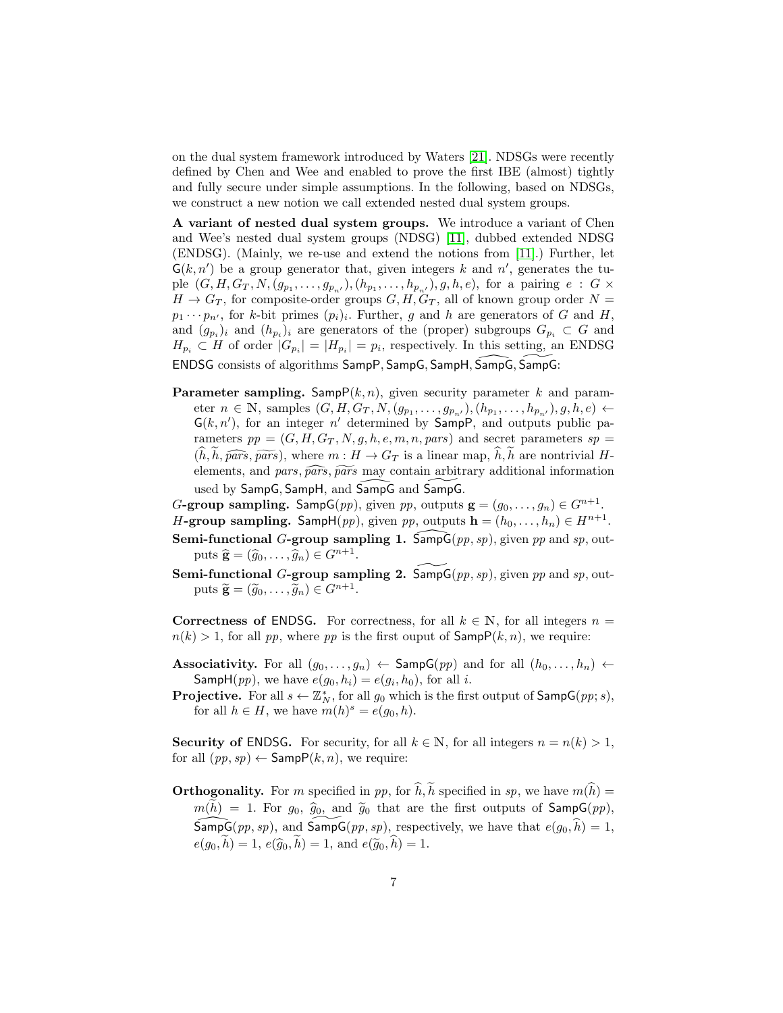on the dual system framework introduced by Waters [\[21\]](#page-23-11). NDSGs were recently defined by Chen and Wee and enabled to prove the first IBE (almost) tightly and fully secure under simple assumptions. In the following, based on NDSGs, we construct a new notion we call extended nested dual system groups.

A variant of nested dual system groups. We introduce a variant of Chen and Wee's nested dual system groups (NDSG) [\[11\]](#page-23-7), dubbed extended NDSG (ENDSG). (Mainly, we re-use and extend the notions from [\[11\]](#page-23-7).) Further, let  $G(k, n')$  be a group generator that, given integers k and n', generates the tuple  $(G, H, G_T, N, (g_{p_1}, \ldots, g_{p_{n'}}), (h_{p_1}, \ldots, h_{p_{n'}}), g, h, e)$ , for a pairing  $e : G \times$  $H \to G_T$ , for composite-order groups  $G, H, G_T$ , all of known group order  $N =$  $p_1 \cdots p_{n'}$ , for k-bit primes  $(p_i)_i$ . Further, g and h are generators of G and H, and  $(g_{p_i})_i$  and  $(h_{p_i})_i$  are generators of the (proper) subgroups  $G_{p_i} \subset G$  and  $H_{p_i} \subset H$  of order  $|G_{p_i}| = |H_{p_i}| = p_i$ , respectively. In this setting, an ENDSG ENDSG consists of algorithms SampP, SampG, SampH, SampG, SampG:

- **Parameter sampling.** Samp $P(k, n)$ , given security parameter k and parameter  $n \in \mathbb{N}$ , samples  $(G, H, G_T, N, (g_{p_1}, \ldots, g_{p_{n'}}), (h_{p_1}, \ldots, h_{p_{n'}}), g, h, e) \leftarrow$  $G(k, n')$ , for an integer n' determined by SampP, and outputs public parameters  $pp = (G, H, G_T, N, g, h, e, m, n, pars)$  and secret parameters  $sp =$  $(h, h, \widehat{pars}, \widehat{pars})$ , where  $m : H \to G_T$  is a linear map, h, h are nontrivial Helements, and pars,  $\widehat{pars}$ ,  $\widehat{pars}$  may contain arbitrary additional information used by SampG, SampH, and SampG and SampG.
- G-group sampling. Samp $G(pp)$ , given  $pp$ , outputs  $\mathbf{g} = (g_0, \ldots, g_n) \in G^{n+1}$ .
- H-group sampling. SampH $(pp)$ , given pp, outputs  $\mathbf{h} = (h_0, \ldots, h_n) \in H^{n+1}$ .
- **Semi-functional G-group sampling 1.** SampG $(pp, sp)$ , given pp and sp, outputs  $\hat{\mathbf{g}} = (\hat{g}_0, \dots, \hat{g}_n) \in G^{n+1}.$
- Semi-functional G-group sampling 2. Samp $G(pp, sp)$ , given pp and sp, outputs  $\widetilde{\mathbf{g}} = (\widetilde{g}_0, \dots, \widetilde{g}_n) \in G^{n+1}.$

Correctness of ENDSG. For correctness, for all  $k \in \mathbb{N}$ , for all integers  $n =$  $n(k) > 1$ , for all pp, where pp is the first ouput of  $\textsf{Sample}(k, n)$ , we require:

- Associativity. For all  $(g_0, \ldots, g_n) \leftarrow$  SampG $(pp)$  and for all  $(h_0, \ldots, h_n)$   $\leftarrow$ SampH(pp), we have  $e(g_0, h_i) = e(g_i, h_0)$ , for all *i*.
- **Projective.** For all  $s \leftarrow \mathbb{Z}_N^*$ , for all  $g_0$  which is the first output of  $\mathsf{SampG}(pp; s)$ , for all  $h \in H$ , we have  $m(h)^s = e(g_0, h)$ .

**Security of ENDSG.** For security, for all  $k \in \mathbb{N}$ , for all integers  $n = n(k) > 1$ , for all  $(pp, sp) \leftarrow$  Samp $P(k, n)$ , we require:

**Orthogonality.** For m specified in pp, for  $\hat{h}$ ,  $\tilde{h}$  specified in sp, we have  $m(\hat{h}) =$  $m(\tilde{h}) = 1$ . For  $g_0$ ,  $\hat{g}_0$ , and  $\tilde{g}_0$  that are the first outputs of SampG(pp),  $\widehat{\mathsf{SampG}} (pp, sp)$ , and  $\mathsf{SampG} (pp, sp)$ , respectively, we have that  $e(g_0, \hat{h}) = 1$ ,  $e(g_0, h) = 1, e(\hat{g}_0, h) = 1, \text{ and } e(\tilde{g}_0, h) = 1.$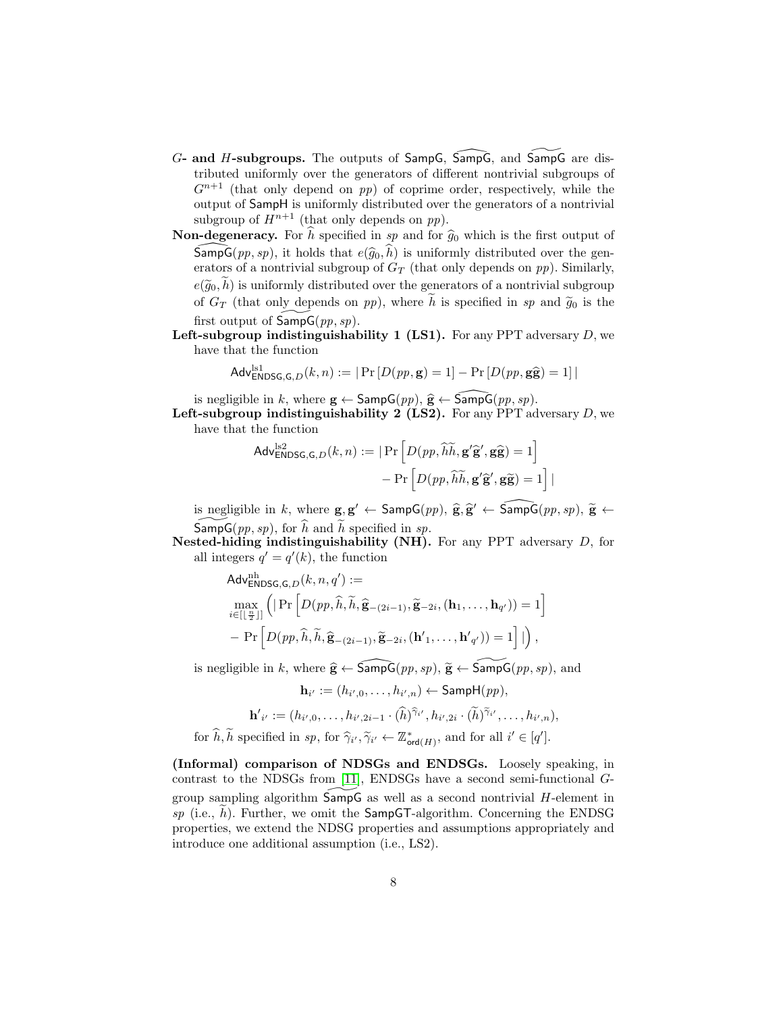- $G$  and H-subgroups. The outputs of SampG, SampG, and SampG are distributed uniformly over the generators of different nontrivial subgroups of  $G^{n+1}$  (that only depend on pp) of coprime order, respectively, while the output of SampH is uniformly distributed over the generators of a nontrivial subgroup of  $H^{n+1}$  (that only depends on pp).
- **Non-degeneracy.** For  $\hat{h}$  specified in sp and for  $\hat{g}_0$  which is the first output of SampG(pp, sp), it holds that  $e(\hat{g}_0, h)$  is uniformly distributed over the generators of a nontrivial subgroup of  $G_T$  (that only depends on pp). Similarly,  $e(\widetilde{q}_0, \widetilde{h})$  is uniformly distributed over the generators of a nontrivial subgroup of  $G_T$  (that only depends on pp), where h is specified in sp and  $\tilde{g}_0$  is the first output of  $\mathsf{SampG}(pp, sp)$ .
- **Left-subgroup indistinguishability 1 (LS1).** For any PPT adversary  $D$ , we have that the function

$$
Adv_{\mathsf{ENDSG},\mathsf{G},D}^{\mathrm{ls1}}(k,n) := |\Pr\left[D(pp,\mathbf{g})=1\right] - \Pr\left[D(pp,\mathbf{g}\widehat{\mathbf{g}})=1\right]|
$$

is negligible in k, where  $\mathbf{g} \leftarrow$  SampG $(pp), \hat{\mathbf{g}} \leftarrow$  SampG $(pp, sp)$ .

Left-subgroup indistinguishability 2 (LS2). For any PPT adversary  $D$ , we have that the function

$$
\begin{aligned} \mathsf{Adv}_{\mathsf{ENDSG},\mathsf{G},D}^{\mathrm{ls2}}(k,n) &:= \left| \Pr \left[ D(pp,\widetilde{h}\widetilde{h},\mathbf{g}'\widehat{\mathbf{g}}',\mathbf{g}\widehat{\mathbf{g}}) = 1 \right] \\ &- \Pr \left[ D(pp,\widetilde{h}\widetilde{h},\mathbf{g}'\widehat{\mathbf{g}}',\mathbf{g}\widetilde{\mathbf{g}}) = 1 \right] \end{aligned}
$$

is negligible in k, where  $g, g' \leftarrow$  SampG $(pp)$ ,  $\hat{g}, \hat{g}' \leftarrow$  SampG $(pp, sp)$ ,  $\tilde{g} \leftarrow$  $\widetilde{\mathsf{SampG}}(pp, sp)$ , for  $\widehat{h}$  and  $\widetilde{h}$  specified in sp.

Nested-hiding indistinguishability (NH). For any PPT adversary  $D$ , for all integers  $q' = q'(k)$ , the function

$$
Adv_{\mathsf{ENDSG},\mathsf{G},D}^{\mathrm{nh}}(k,n,q') :=
$$
  
\n
$$
\max_{i \in [\lfloor \frac{n}{2} \rfloor]} \left( \left| \Pr \left[ D(pp, \widehat{h}, \widetilde{h}, \widehat{\mathbf{g}}_{-(2i-1)}, \widetilde{\mathbf{g}}_{-2i}, (\mathbf{h}_1, \dots, \mathbf{h}_{q'}) \right) = 1 \right| - \Pr \left[ D(pp, \widehat{h}, \widetilde{h}, \widehat{\mathbf{g}}_{-(2i-1)}, \widetilde{\mathbf{g}}_{-2i}, (\mathbf{h'}_1, \dots, \mathbf{h'}_{q'}) \right) = 1 \right] | \right),
$$

is negligible in k, where  $\hat{\mathbf{g}} \leftarrow \widehat{\mathsf{SampG}} (pp, sp), \tilde{\mathbf{g}} \leftarrow \widetilde{\mathsf{SampG}} (pp, sp),$  and

$$
\mathbf{h}_{i'} := (h_{i',0},\ldots,h_{i',n}) \leftarrow \textsf{SampH}(pp),
$$
  

$$
\mathbf{h'}_{i'} := (h_{i',0},\ldots,h_{i',2i-1} \cdot (\widehat{h})^{\widehat{\gamma}_{i'}}, h_{i',2i} \cdot (\widetilde{h})^{\widetilde{\gamma}_{i'}},\ldots,h_{i',n}),
$$

for  $\widehat{h}, \widetilde{h}$  specified in sp, for  $\widehat{\gamma}_{i'}, \widetilde{\gamma}_{i'} \leftarrow \mathbb{Z}_{\text{ord}(H)}^*$ , and for all  $i' \in [q']$ .

(Informal) comparison of NDSGs and ENDSGs. Loosely speaking, in contrast to the NDSGs from [\[11\]](#page-23-7), ENDSGs have a second semi-functional Ggroup sampling algorithm  $SampG$  as well as a second nontrivial  $H$ -element in sp (i.e., h). Further, we omit the SampGT-algorithm. Concerning the ENDSG properties, we extend the NDSG properties and assumptions appropriately and introduce one additional assumption (i.e., LS2).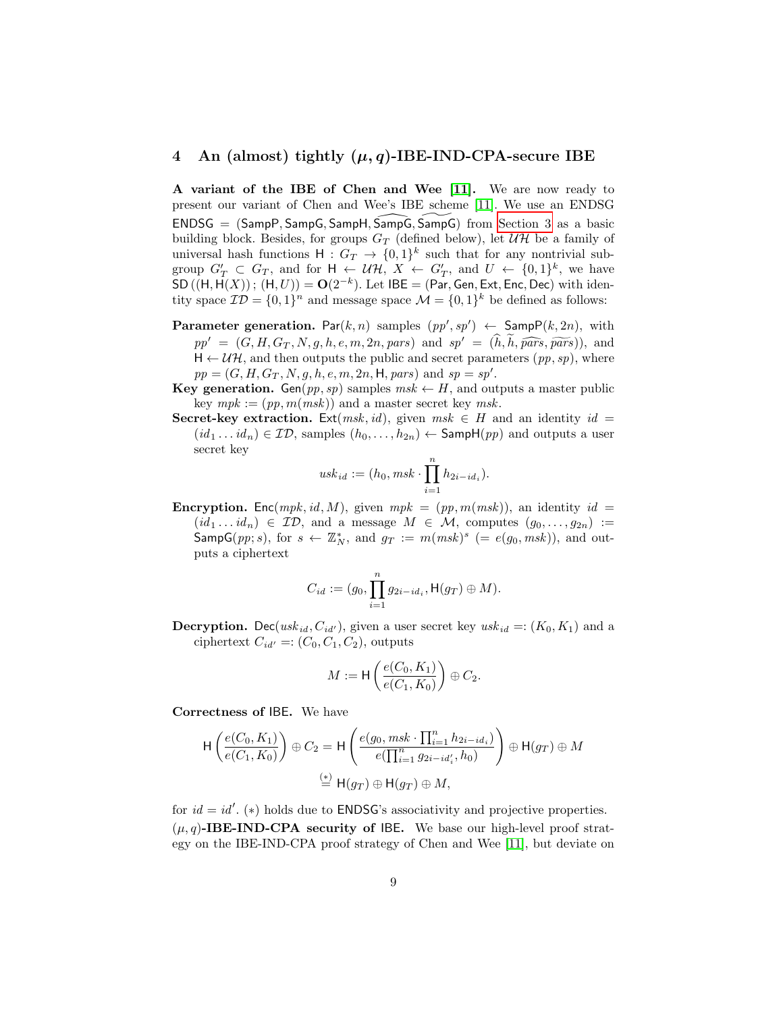#### <span id="page-8-0"></span>4 An (almost) tightly  $(\mu, q)$ -IBE-IND-CPA-secure IBE

A variant of the IBE of Chen and Wee [\[11\]](#page-23-7). We are now ready to present our variant of Chen and Wee's IBE scheme [\[11\]](#page-23-7). We use an ENDSG  $ENDSG = (SampP, SampG, SampH, SampG, SampG)$  from [Section 3](#page-5-0) as a basic building block. Besides, for groups  $G_T$  (defined below), let  $\mathcal{UH}$  be a family of universal hash functions  $H: G_T \to \{0,1\}^k$  such that for any nontrivial subgroup  $G'_T \subset G_T$ , and for  $H \leftarrow \mathcal{UH}$ ,  $X \leftarrow G'_T$ , and  $U \leftarrow \{0,1\}^k$ , we have  $SD((H, H(X))$ ;  $(H, U)) = O(2^{-k})$ . Let IBE = (Par, Gen, Ext, Enc, Dec) with identity space  $\mathcal{ID} = \{0, 1\}^n$  and message space  $\mathcal{M} = \{0, 1\}^k$  be defined as follows:

- **Parameter generation.** Par $(k, n)$  samples  $(pp', sp') \leftarrow$  SampP $(k, 2n)$ , with  $pp' = (G, H, G_T, N, g, h, e, m, 2n, pars)$  and  $sp' = (h, h, \widehat{pars}, \widehat{pars})),$  and  $H \leftarrow UH$ , and then outputs the public and secret parameters  $(pp, sp)$ , where  $pp = (G, H, G_T, N, g, h, e, m, 2n, H, pars)$  and  $sp = sp'.$
- Key generation. Gen(pp, sp) samples  $msk \leftarrow H$ , and outputs a master public key  $mpk := (pp, m(msk))$  and a master secret key msk.
- **Secret-key extraction.** Ext(*msk, id*), given  $msk \in H$  and an identity  $id =$  $(id_1 \dots id_n) \in \mathcal{ID}$ , samples  $(h_0, \dots, h_{2n}) \leftarrow$  SampH $(pp)$  and outputs a user secret key

$$
usk_{id} := (h_0, msk \cdot \prod_{i=1}^{n} h_{2i - id_i}).
$$

**Encryption.** Enc(mpk, id, M), given  $mpk = (pp, m(msk))$ , an identity id =  $(id_1 \dots id_n) \in \mathcal{ID}$ , and a message  $M \in \mathcal{M}$ , computes  $(g_0, \dots, g_{2n}) :=$  $\mathsf{SampG}(pp; s)$ , for  $s \leftarrow \mathbb{Z}_N^*$ , and  $g_T := m(msk)^s$  (=  $e(g_0, msk)$ ), and outputs a ciphertext

$$
C_{id}:=(g_0,\prod_{i=1}^ng_{2i-id_i},\text{H}(g_T)\oplus M).
$$

**Decryption.** Dec(usk<sub>id</sub>,  $C_{id'}$ ), given a user secret key usk<sub>id</sub> =: ( $K_0, K_1$ ) and a ciphertext  $C_{id'} =: (C_0, C_1, C_2)$ , outputs

$$
M := \mathsf{H}\left(\frac{e(C_0, K_1)}{e(C_1, K_0)}\right) \oplus C_2.
$$

Correctness of IBE. We have

$$
\mathsf{H}\left(\frac{e(C_0, K_1)}{e(C_1, K_0)}\right) \oplus C_2 = \mathsf{H}\left(\frac{e(g_0, msk \cdot \prod_{i=1}^n h_{2i - id_i})}{e(\prod_{i=1}^n g_{2i - id'_i}, h_0)}\right) \oplus \mathsf{H}(g_T) \oplus M
$$
  

$$
\stackrel{\text{(*)}}{=} \mathsf{H}(g_T) \oplus \mathsf{H}(g_T) \oplus M,
$$

for  $id = id'$ . (\*) holds due to **ENDSG**'s associativity and projective properties.  $(\mu, q)$ -IBE-IND-CPA security of IBE. We base our high-level proof strategy on the IBE-IND-CPA proof strategy of Chen and Wee [\[11\]](#page-23-7), but deviate on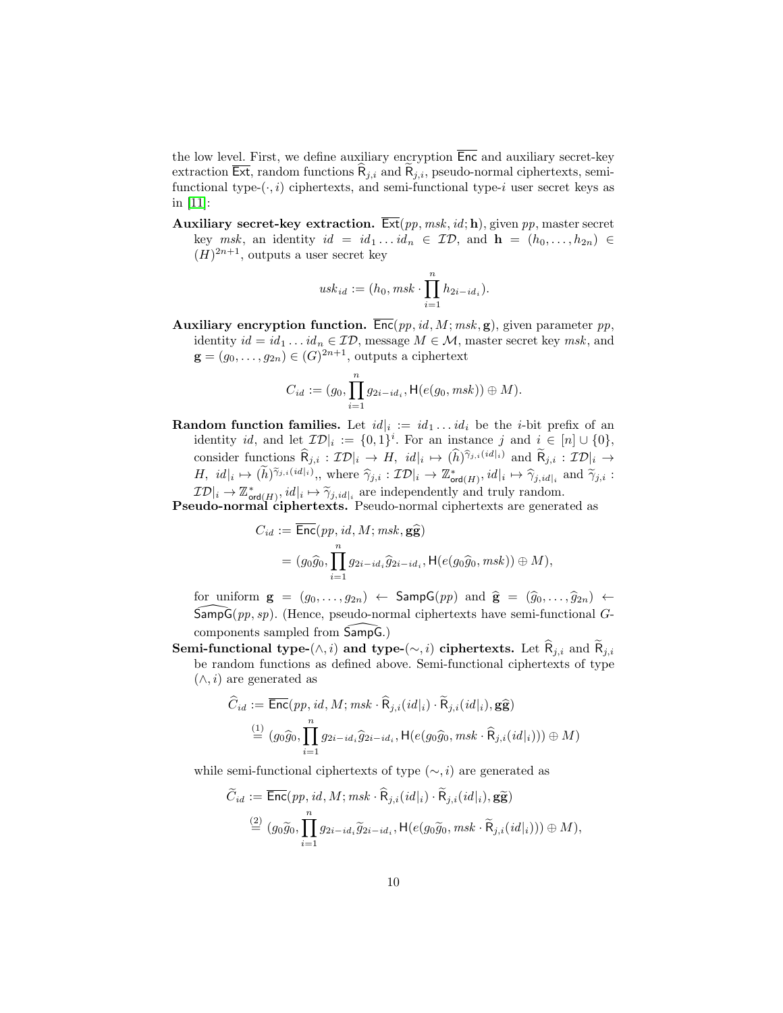the low level. First, we define auxiliary encryption  $\overline{\mathsf{Enc}}$  and auxiliary secret-key extraction  $\overline{\mathsf{Ext}}$ , random functions  $\overline{\mathsf{R}}_{j,i}$  and  $\overline{\mathsf{R}}_{j,i}$ , pseudo-normal ciphertexts, semifunctional type- $(\cdot, i)$  ciphertexts, and semi-functional type-i user secret keys as in [\[11\]](#page-23-7):

Auxiliary secret-key extraction.  $\overline{\text{Ext}}(pp, msk, id; \mathbf{h})$ , given pp, master secret key msk, an identity  $id = id_1 \dots id_n \in \mathcal{ID}$ , and  $\mathbf{h} = (h_0, \dots, h_{2n}) \in$  $(H)^{2n+1}$ , outputs a user secret key

$$
usk_{id} := (h_0, msk \cdot \prod_{i=1}^{n} h_{2i - id_i}).
$$

Auxiliary encryption function.  $\overline{\text{Enc}}(pp, id, M; msk, \mathbf{g})$ , given parameter pp, identity  $id = id_1 \dots id_n \in \mathcal{ID}$ , message  $M \in \mathcal{M}$ , master secret key msk, and  $\mathbf{g} = (g_0, \ldots, g_{2n}) \in (G)^{2n+1}$ , outputs a ciphertext

$$
C_{id} := (g_0, \prod_{i=1}^n g_{2i-id_i}, \mathsf{H}(e(g_0, msk)) \oplus M).
$$

**Random function families.** Let  $id|_i := id_1 \dots id_i$  be the *i*-bit prefix of an identity id, and let  $\mathcal{ID}|_i := \{0,1\}^i$ . For an instance j and  $i \in [n] \cup \{0\}$ , consider functions  $\widehat{R}_{j,i} : \mathcal{ID}|_i \to H$ ,  $id|_i \mapsto (\widehat{h})^{\widehat{\gamma}_{j,i}(id|_i)}$  and  $\widehat{R}_{j,i} : \mathcal{ID}|_i \to$ H,  $id|_i \mapsto (\tilde{h})^{\tilde{\gamma}_{j,i}(id|i)},$ , where  $\hat{\gamma}_{j,i} : \mathcal{ID}|_i \to \mathbb{Z}_{\text{ord}(H)}^*$ ,  $id|_i \mapsto \hat{\gamma}_{j,id|i}$  and  $\tilde{\gamma}_{j,i} :$ <br>  $\mathcal{ID}|_i \to \mathbb{Z}^*$  $\mathcal{ID}|_i \to \mathbb{Z}_{\text{ord}(H)}^*$ ,  $id|_i \mapsto \widetilde{\gamma}_{j,id|_i}$  are independently and truly random.

Pseudo-normal ciphertexts. Pseudo-normal ciphertexts are generated as

$$
C_{id} := \overline{\text{Enc}}(pp, id, M; msk, \mathbf{g}\widehat{\mathbf{g}})
$$
  
=  $(g_0\widehat{g}_0, \prod_{i=1}^n g_{2i-id_i}\widehat{g}_{2i-id_i}, \mathsf{H}(e(g_0\widehat{g}_0, msk)) \oplus M),$ 

for uniform  $g = (g_0, \ldots, g_{2n}) \leftarrow$  Samp $G(pp)$  and  $\hat{g} = (\hat{g}_0, \ldots, \hat{g}_{2n}) \leftarrow$  $\overline{\mathsf{SampG}}(pp, sp)$ . (Hence, pseudo-normal ciphertexts have semi-functional Gcomponents sampled from  $Samp\bar{G}$ .)

Semi-functional type-( $\wedge$ , i) and type-( $\sim$ , i) ciphertexts. Let  $\widehat{\mathsf{R}}_{j,i}$  and  $\widetilde{\mathsf{R}}_{j,i}$ be random functions as defined above. Semi-functional ciphertexts of type  $(\wedge, i)$  are generated as

$$
\begin{aligned} \widehat{C}_{id} &:= \overline{\mathsf{Enc}}(pp, id, M; msk \cdot \widehat{\mathsf{R}}_{j,i}(id|_i) \cdot \widetilde{\mathsf{R}}_{j,i}(id|_i), \mathbf{g}\widehat{\mathbf{g}}) \\ & \stackrel{(1)}{=} (g_0\widehat{g}_0, \prod_{i=1}^n g_{2i-id_i}\widehat{g}_{2i-id_i}, \mathsf{H}(e(g_0\widehat{g}_0, msk \cdot \widehat{\mathsf{R}}_{j,i}(id|_i))) \oplus M) \end{aligned}
$$

while semi-functional ciphertexts of type  $(\sim, i)$  are generated as

$$
\widetilde{C}_{id} := \overline{\text{Enc}}(pp, id, M; msk \cdot \widehat{\mathsf{R}}_{j,i}(id|_i) \cdot \widetilde{\mathsf{R}}_{j,i}(id|_i), \mathbf{g}\widetilde{\mathbf{g}})
$$
  
\n
$$
\stackrel{(2)}{=} (g_0\widetilde{g}_0, \prod_{i=1}^n g_{2i-id_i}\widetilde{g}_{2i-id_i}, \mathsf{H}(e(g_0\widetilde{g}_0, msk \cdot \widetilde{\mathsf{R}}_{j,i}(id|_i))) \oplus M),
$$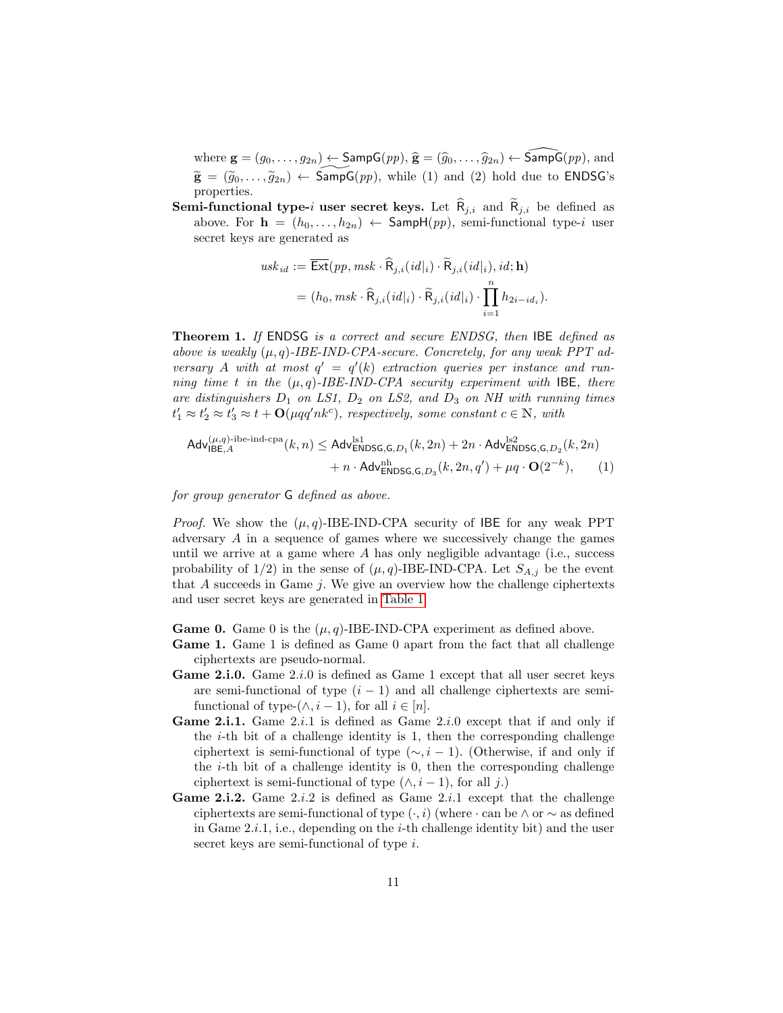where  $\mathbf{g} = (g_0, \ldots, g_{2n}) \leftarrow$  SampG $(pp), \hat{\mathbf{g}} = (\hat{g}_0, \ldots, \hat{g}_{2n}) \leftarrow$  SampG $(pp),$  and  $\widetilde{\mathbf{g}} = (\widetilde{g}_0, \ldots, \widetilde{g}_{2n}) \leftarrow \widetilde{\mathsf{SampG}}(pp)$ , while (1) and (2) hold due to ENDSG's properties.

**Semi-functional type-i user secret keys.** Let  $\hat{\mathsf{R}}_{i,i}$  and  $\hat{\mathsf{R}}_{i,i}$  be defined as above. For  $\mathbf{h} = (h_0, \ldots, h_{2n}) \leftarrow$  SampH $(pp)$ , semi-functional type-i user secret keys are generated as

<span id="page-10-0"></span>
$$
usk_{id} := \overline{\text{Ext}}(pp, msk \cdot \widehat{\mathsf{R}}_{j,i}(id|_{i}) \cdot \widetilde{\mathsf{R}}_{j,i}(id|_{i}), id; \mathbf{h})
$$
  
=  $(h_0, msk \cdot \widehat{\mathsf{R}}_{j,i}(id|_{i}) \cdot \widetilde{\mathsf{R}}_{j,i}(id|_{i}) \cdot \prod_{i=1}^{n} h_{2i-id_i}).$ 

Theorem 1. If ENDSG is a correct and secure ENDSG, then IBE defined as above is weakly  $(\mu, q)$ -IBE-IND-CPA-secure. Concretely, for any weak PPT adversary A with at most  $q' = q'(k)$  extraction queries per instance and running time t in the  $(\mu, q)$ -IBE-IND-CPA security experiment with IBE, there are distinguishers  $D_1$  on LS1,  $D_2$  on LS2, and  $D_3$  on NH with running times  $t'_1 \approx t'_2 \approx t'_3 \approx t + \mathbf{O}(\mu qq' nk^c)$ , respectively, some constant  $c \in \mathbb{N}$ , with

$$
\begin{aligned} \mathsf{Adv}_{\mathsf{IBE},A}^{(\mu,q)\text{-}\mathrm{ibe}\text{-}\mathrm{ind}\text{-}\mathrm{cpa}}(k,n) &\leq \mathsf{Adv}_{\mathsf{ENDSG},\mathsf{G},D_1}^{\mathrm{ls1}}(k,2n) + 2n \cdot \mathsf{Adv}_{\mathsf{ENDSG},\mathsf{G},D_2}^{\mathrm{ls2}}(k,2n) \\ &+ n \cdot \mathsf{Adv}_{\mathsf{ENDSG},\mathsf{G},D_3}^{\mathrm{nh}}(k,2n,q') + \mu q \cdot \mathbf{O}(2^{-k}), \end{aligned} \tag{1}
$$

for group generator G defined as above.

*Proof.* We show the  $(\mu, q)$ -IBE-IND-CPA security of IBE for any weak PPT adversary A in a sequence of games where we successively change the games until we arrive at a game where  $A$  has only negligible advantage (i.e., success probability of  $1/2$ ) in the sense of  $(\mu, q)$ -IBE-IND-CPA. Let  $S_{A,j}$  be the event that  $A$  succeeds in Game  $j$ . We give an overview how the challenge ciphertexts and user secret keys are generated in [Table 1.](#page-11-0)

**Game 0.** Game 0 is the  $(\mu, q)$ -IBE-IND-CPA experiment as defined above.

- Game 1. Game 1 is defined as Game 0 apart from the fact that all challenge ciphertexts are pseudo-normal.
- Game 2.i.0. Game 2.i.0 is defined as Game 1 except that all user secret keys are semi-functional of type  $(i - 1)$  and all challenge ciphertexts are semifunctional of type- $(\wedge, i-1)$ , for all  $i \in [n]$ .
- **Game 2.i.1.** Game 2.*i*.1 is defined as Game 2.*i*.0 except that if and only if the  $i$ -th bit of a challenge identity is 1, then the corresponding challenge ciphertext is semi-functional of type  $(\sim, i - 1)$ . (Otherwise, if and only if the  $i$ -th bit of a challenge identity is 0, then the corresponding challenge ciphertext is semi-functional of type  $(\wedge, i - 1)$ , for all j.)
- Game 2.i.2. Game 2.*i*.2 is defined as Game 2.*i*.1 except that the challenge ciphertexts are semi-functional of type  $(·, i)$  (where  $·$  can be  $\land$  or  $\sim$  as defined in Game  $2.i.1$ , i.e., depending on the *i*-th challenge identity bit) and the user secret keys are semi-functional of type i.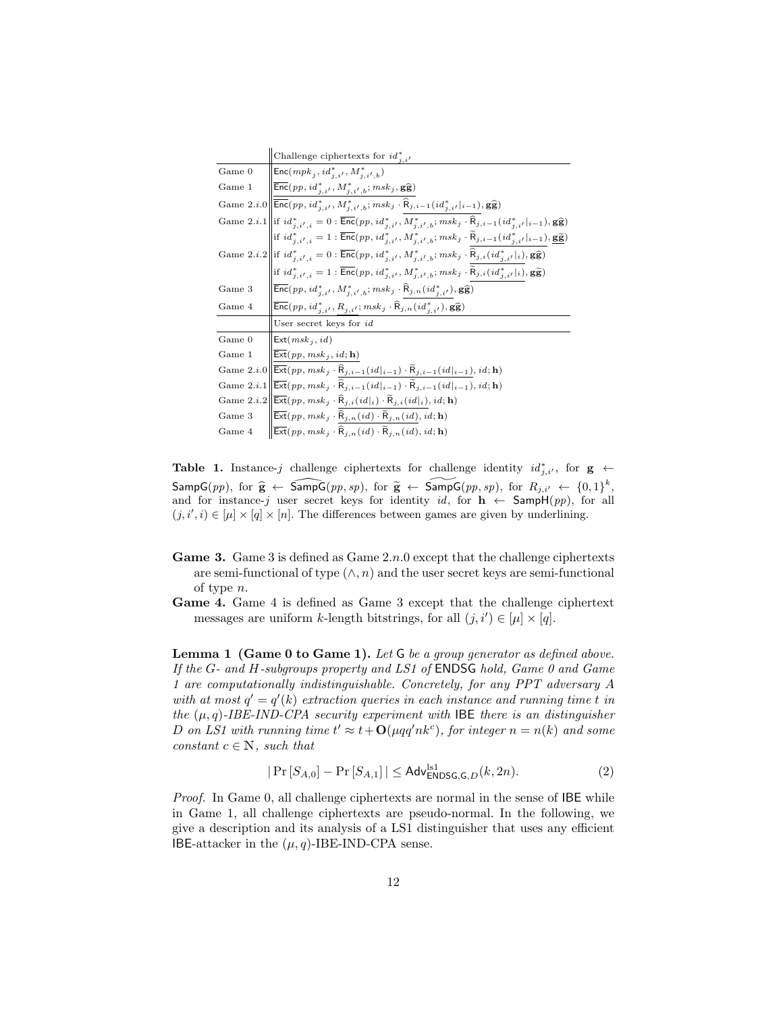|        | Challenge ciphertexts for $id_{i,i'}^*$                                                                                                                                                                                              |
|--------|--------------------------------------------------------------------------------------------------------------------------------------------------------------------------------------------------------------------------------------|
| Game 0 | $\mathsf{Enc}(\mathit{mpk}_j, \mathit{id}_{j}^*, \mathit{M}_{j}^*, \mathit{N}_{j}^*)$                                                                                                                                                |
| Game 1 | $\left \overline{\mathsf{Enc}}(pp, id_{j,i'}^*, M_{j,i',b}^*; m s k_j, \mathbf{g}\widehat{\mathbf{g}})\right $                                                                                                                       |
|        | Game 2. <i>i</i> .0 $\left\ \overline{\text{Enc}}(pp, id_{i,i'}^*, M_{i,i',b}^*, msk_j \cdot \widehat{R}_{j,i-1}(id_{i,i'}^* _{i-1}), g\widehat{g})\right\ $                                                                         |
|        | Game 2. <i>i</i> .1 if $id_{j,i',i}^* = 0$ : $\overline{\text{Enc}}(pp, id_{j,i'}^*, M_{j,i',b}^*; msk_j \cdot \widehat{R}_{j,i-1}(id_{j,i'}^* _{i-1}), g\hat{g})$                                                                   |
|        | $\left  \text{if} \ id_{j,i',i}^* = 1 : \overline{\mathsf{Enc}}(pp, id_{j,i'}^*, M_{j,i',b}^*; m s k_j \cdot \widetilde{\mathsf{R}}_{j,i-1}(id_{j,i'}^* _{i-1}), \underline{\mathbf{g}} \underline{\widetilde{\mathbf{g}}}) \right $ |
|        | Game 2. <i>i</i> .2 $\left\  \text{if} \ id_{j,i',i}^* = 0 : \overline{\text{Enc}}(pp, id_{j,i'}^*, M_{j,i',b}^*; m s k_j \cdot \widehat{\text{R}}_{j,i} (id_{j,i'}^* i), \mathbf{g} \widehat{\mathbf{g}}) \right\ $                 |
|        | if $id_{j,i',i}^* = 1 : \overline{\mathsf{Enc}}(pp, id_{j,i'}^*, M_{j,i',b}^*; msk_j \cdot \widetilde{R}_{j,i}(id_{j,i'}^* _i), \mathbf{g}\widetilde{\mathbf{g}})$                                                                   |
| Game 3 | $\left  \overline{\mathsf{Enc}}(pp, id_{j,i'}^*, M_{j,i',b}^*; m s k_j \cdot \widehat{\mathsf{R}}_{j,n}(id_{j,i'}^*), \mathbf{g} \widehat{\mathbf{g}}) \right $                                                                      |
| Game 4 | $\overline{\mathsf{Enc}}(pp, id^*_{i,i'}, R_{j,i'}; m s k_j \cdot \widehat{R}_{j,n}(id^*_{i,i'}), \mathbf{g}\widehat{\mathbf{g}})$                                                                                                   |
|        | User secret keys for id                                                                                                                                                                                                              |
| Game 0 | $\mathsf{Ext}(msk_j, id)$                                                                                                                                                                                                            |
| Game 1 | $\mathsf{Ext}(pp, msk_j, id; \mathbf{h})$                                                                                                                                                                                            |
|        | Game 2. <i>i</i> .0 $\ \overline{\text{Ext}}(pp, msk_j \cdot \hat{R}_{j,i-1}(id _{i-1}) \cdot \tilde{R}_{j,i-1}(id _{i-1}), id; \mathbf{h})$                                                                                         |
|        | Game 2. <i>i</i> .1 $\left\ \overline{\mathsf{Ext}}(pp, msk_j \cdot \widehat{\mathsf{R}}_{j,i-1}(id _{i-1}) \cdot \widetilde{\mathsf{R}}_{j,i-1}(id _{i-1}), id; \mathbf{h}\right)$                                                  |
|        | Game $2.i.2 \ \overline{\text{Ext}}(pp, msk_j \cdot \widehat{\text{R}}_{j,i}(\emph{id} _i) \cdot \widetilde{\text{R}}_{j,i}(\emph{id} _i), \emph{id}; \textbf{h})$                                                                   |
| Game 3 | $\overline{\mathsf{Ext}}(pp, m s k_j \cdot \widehat{\mathsf{R}}_{j, n}(\mathit{id}) \cdot \widetilde{\mathsf{R}}_{j, n}(\mathit{id}), \mathit{id}; \mathbf{h})$                                                                      |
| Game 4 | $\overline{\mathsf{Ext}}(pp, msk_j \cdot \overline{\mathsf{R}}_{i,n}(id) \cdot \overline{\mathsf{R}}_{i,n}(id), id; \mathbf{h})$                                                                                                     |

<span id="page-11-0"></span>Table 1. Instance-j challenge ciphertexts for challenge identity  $id_{j,i'}^*$ , for  $g \leftarrow$  $\mathsf{SampG}(pp)$ , for  $\hat{\mathbf{g}} \leftarrow \widehat{\mathsf{SampG}}(pp, sp)$ , for  $\tilde{\mathbf{g}} \leftarrow \widehat{\mathsf{SampG}}(pp, sp)$ , for  $R_{j,i'} \leftarrow \{0, 1\}^k$ , and for instance-j user secret keys for identity id, for  $h \leftarrow$  SampH(pp), for all  $(j, i', i) \in [\mu] \times [q] \times [n]$ . The differences between games are given by underlining.

- **Game 3.** Game 3 is defined as Game  $2n.0$  except that the challenge ciphertexts are semi-functional of type  $(\wedge, n)$  and the user secret keys are semi-functional of type n.
- Game 4. Game 4 is defined as Game 3 except that the challenge ciphertext messages are uniform k-length bitstrings, for all  $(j, i') \in [\mu] \times [q]$ .

Lemma 1 (Game 0 to Game 1). Let G be a group generator as defined above. If the G- and H-subgroups property and LS1 of ENDSG hold, Game 0 and Game 1 are computationally indistinguishable. Concretely, for any PPT adversary A with at most  $q' = q'(k)$  extraction queries in each instance and running time t in the  $(\mu, q)$ -IBE-IND-CPA security experiment with IBE there is an distinguisher D on LS1 with running time  $t' \approx t + \mathbf{O}(\mu q q' n k^c)$ , for integer  $n = n(k)$  and some constant  $c \in \mathbb{N}$ , such that

<span id="page-11-1"></span>
$$
|\Pr\left[S_{A,0}\right] - \Pr\left[S_{A,1}\right]| \le \mathsf{Adv}_{\mathsf{ENDSG},\mathsf{G},D}^{\mathsf{ls1}}(k,2n). \tag{2}
$$

Proof. In Game 0, all challenge ciphertexts are normal in the sense of IBE while in Game 1, all challenge ciphertexts are pseudo-normal. In the following, we give a description and its analysis of a LS1 distinguisher that uses any efficient IBE-attacker in the  $(\mu, q)$ -IBE-IND-CPA sense.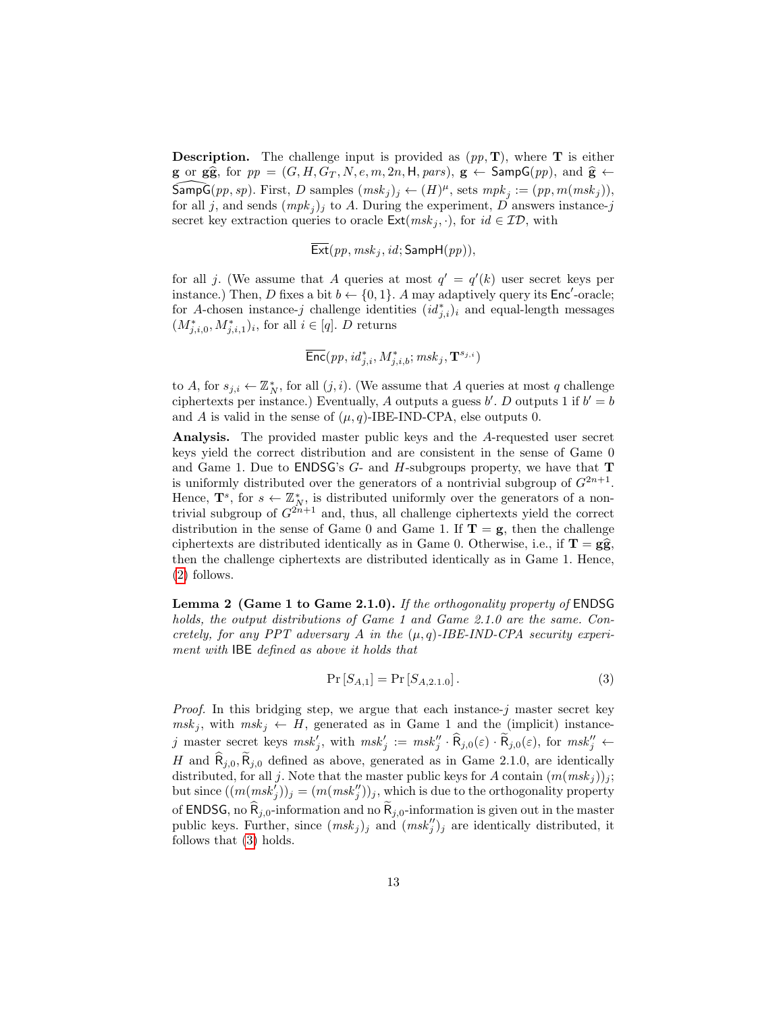**Description.** The challenge input is provided as  $(pp, T)$ , where **T** is either **g** or **g** $\hat{\mathbf{g}}$ , for  $pp = (G, H, G_T, N, e, m, 2n, H, pars), \mathbf{g} \leftarrow$  Samp $\mathsf{G}(pp)$ , and  $\hat{\mathbf{g}} \leftarrow$  $\widehat{\mathsf{SampG}}(pp, sp)$ . First, D samples  $(msk_j)_j \leftarrow (H)^\mu$ , sets  $mpk_j := (pp, m(msk_j)),$ for all j, and sends  $(mpk<sub>j</sub>)<sub>j</sub>$  to A. During the experiment, D answers instance-j secret key extraction queries to oracle  $\mathsf{Ext}(msk_j, \cdot)$ , for  $id \in \mathcal{ID}$ , with

 $\overline{\text{Ext}}(pp, msk_j, id; \text{SampH}(pp)),$ 

for all j. (We assume that A queries at most  $q' = q'(k)$  user secret keys per instance.) Then, D fixes a bit  $b \leftarrow \{0, 1\}$ . A may adaptively query its Enc<sup>'</sup>-oracle; for A-chosen instance-j challenge identities  $(id_{j,i}^*)_i$  and equal-length messages  $(M^*_{j,i,0}, M^*_{j,i,1})_i$ , for all  $i \in [q]$ . D returns

$$
\overline{\mathsf{Enc}}(pp, id^*_{j,i}, M^*_{j,i,b}; msk_j, \mathbf{T}^{s_{j,i}})
$$

to A, for  $s_{j,i} \leftarrow \mathbb{Z}_N^*$ , for all  $(j,i)$ . (We assume that A queries at most q challenge ciphertexts per instance.) Eventually, A outputs a guess  $b'$ . D outputs 1 if  $b' = b$ and A is valid in the sense of  $(\mu, q)$ -IBE-IND-CPA, else outputs 0.

Analysis. The provided master public keys and the A-requested user secret keys yield the correct distribution and are consistent in the sense of Game 0 and Game 1. Due to ENDSG's  $G$ - and H-subgroups property, we have that **T** is uniformly distributed over the generators of a nontrivial subgroup of  $G^{2n+1}$ . Hence,  $\mathbf{T}^s$ , for  $s \leftarrow \mathbb{Z}_N^*$ , is distributed uniformly over the generators of a nontrivial subgroup of  $G^{2n+1}$  and, thus, all challenge ciphertexts yield the correct distribution in the sense of Game 0 and Game 1. If  $T = g$ , then the challenge ciphertexts are distributed identically as in Game 0. Otherwise, i.e., if  $\mathbf{T} = g\hat{g}$ , then the challenge ciphertexts are distributed identically as in Game 1. Hence, [\(2\)](#page-11-1) follows.

Lemma 2 (Game 1 to Game 2.1.0). If the orthogonality property of ENDSG holds, the output distributions of Game 1 and Game 2.1.0 are the same. Concretely, for any PPT adversary A in the  $(\mu, q)$ -IBE-IND-CPA security experiment with IBE defined as above it holds that

<span id="page-12-0"></span>
$$
\Pr\left[S_{A,1}\right] = \Pr\left[S_{A,2.1.0}\right].\tag{3}
$$

<span id="page-12-1"></span>*Proof.* In this bridging step, we argue that each instance- $j$  master secret key  $msk_j$ , with  $msk_j \leftarrow H$ , generated as in Game 1 and the (implicit) instancej master secret keys  $msk'_j$ , with  $msk'_j := msk''_j \cdot \widehat{R}_{j,0}(\varepsilon) \cdot \widetilde{R}_{j,0}(\varepsilon)$ , for  $msk''_j \leftarrow$ H and  $\hat{\mathsf{R}}_{i,0}, \hat{\mathsf{R}}_{i,0}$  defined as above, generated as in Game 2.1.0, are identically distributed, for all j. Note that the master public keys for A contain  $(m(msk_j))_j$ ; but since  $((m(msk_j^j))_j = (m(msk_j^{\prime\prime}))_j$ , which is due to the orthogonality property of ENDSG, no  $\widehat{R}_{j,0}$ -information and no  $\widetilde{R}_{j,0}$ -information is given out in the master public keys. Further, since  $(msk_j)_j$  and  $(msk_j'')_j$  are identically distributed, it follows that [\(3\)](#page-12-0) holds.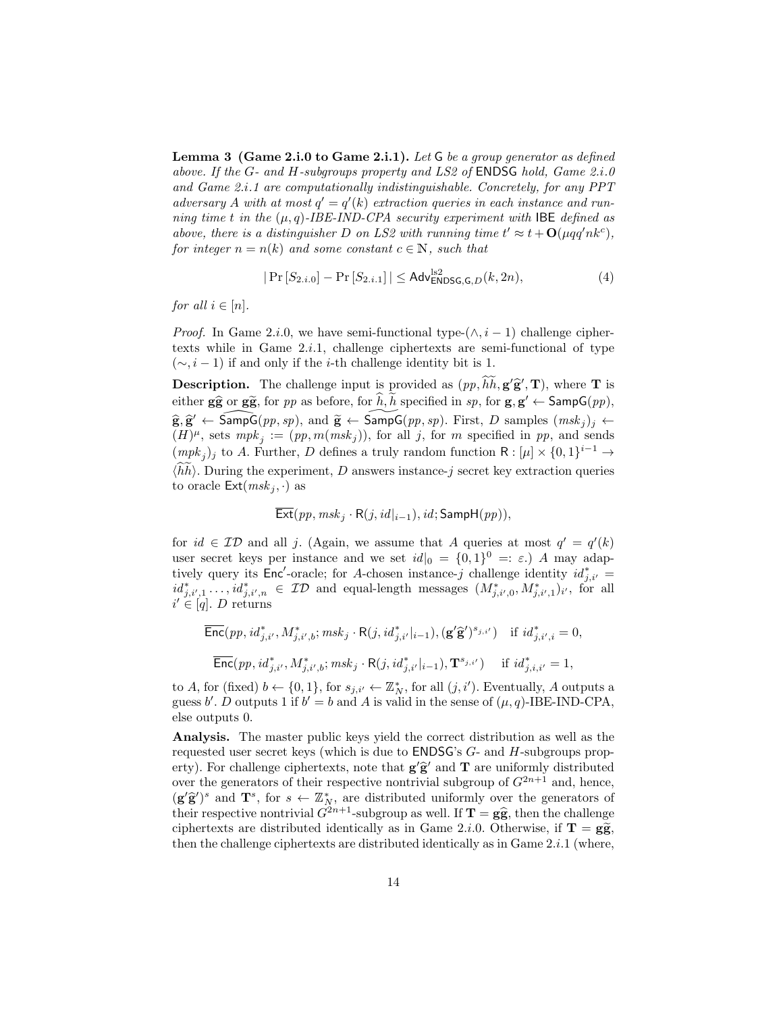**Lemma 3** (Game 2.i.0 to Game 2.i.1). Let  $G$  be a group generator as defined above. If the G- and H-subgroups property and LS2 of **ENDSG** hold, Game  $2.i.0$ and Game 2.i.1 are computationally indistinguishable. Concretely, for any PPT adversary A with at most  $q' = q'(k)$  extraction queries in each instance and running time t in the  $(\mu, q)$ -IBE-IND-CPA security experiment with IBE defined as above, there is a distinguisher D on LS2 with running time  $t' \approx t + O(\mu qq' nk^c)$ , for integer  $n = n(k)$  and some constant  $c \in \mathbb{N}$ , such that

<span id="page-13-0"></span>
$$
|\Pr\left[S_{2,i,0}\right] - \Pr\left[S_{2,i,1}\right]| \le \mathsf{Adv}_{\mathsf{ENDSG},\mathsf{G},D}^{\mathrm{lsg}}(k,2n),\tag{4}
$$

for all  $i \in [n]$ .

*Proof.* In Game 2.*i.*0, we have semi-functional type- $(\wedge, i - 1)$  challenge ciphertexts while in Game  $2.i.1$ , challenge ciphertexts are semi-functional of type  $(\sim, i - 1)$  if and only if the *i*-th challenge identity bit is 1.

**Description.** The challenge input is provided as  $(p, \tilde{h}\tilde{h}, g'\tilde{g}', T)$ , where T is either  $g\hat{g}$  or  $g\hat{g}$ , for pp as before, for  $\hat{h}, \hat{h}$  specified in sp, for  $g, g' \leftarrow$  SampG(pp),  $\widehat{\mathbf{g}}, \widehat{\mathbf{g}}' \leftarrow \widehat{\mathsf{SampG}}(pp, sp)$ , and  $\widetilde{\mathbf{g}} \leftarrow \widehat{\mathsf{SampG}}(pp, sp)$ . First, D samples  $(msk_j)_j \leftarrow$ <br> $(H)^{\mu}$  sots multiple in method in an and sonds  $(H)^{\mu}$ , sets  $mpk_j := (pp, m(msk_j))$ , for all j, for m specified in pp, and sends  $(mpk_j)_j$  to A. Further, D defines a truly random function  $R: [\mu] \times \{0,1\}^{i-1} \rightarrow$  $\langle \hat{h}h \rangle$ . During the experiment, D answers instance-j secret key extraction queries to oracle  $\textsf{Ext}(msk_i, \cdot)$  as

$$
\mathsf{Ext}(pp, msk_j \cdot \mathsf{R}(j, id|_{i-1}), id; \mathsf{SampH}(pp)),
$$

for  $id \in \mathcal{ID}$  and all j. (Again, we assume that A queries at most  $q' = q'(k)$ user secret keys per instance and we set  $id|_0 = \{0,1\}^0 = : \varepsilon$ . A may adaptively query its Enc'-oracle; for A-chosen instance-j challenge identity  $id_{j,i'}^* =$  $id_{j,i',1}^* \ldots, id_{j,i',n}^* \in \mathcal{ID}$  and equal-length messages  $(M_{j,i',0}^*, M_{j,i',1}^*)_{i'}$ , for all  $i' \in [q]$ . D returns

$$
\begin{aligned}\n\overline{\text{Enc}}(pp, id_{j,i'}^*, M_{j,i',b}^*, msk_j \cdot \mathsf{R}(j, id_{j,i'}^*|_{i-1}), (\mathbf{g}'\hat{\mathbf{g}}')^{s_{j,i'}}) &\text{if } id_{j,i',i}^* = 0, \\
\overline{\text{Enc}}(pp, id_{j,i'}^*, M_{j,i',b}^*; msk_j \cdot \mathsf{R}(j, id_{j,i'}^*|_{i-1}), \mathbf{T}^{s_{j,i'}}) &\text{if } id_{j,i,i'}^* = 1,\n\end{aligned}
$$

to A, for (fixed)  $b \leftarrow \{0, 1\}$ , for  $s_{j,i'} \leftarrow \mathbb{Z}_N^*$ , for all  $(j, i')$ . Eventually, A outputs a guess b'. D outputs 1 if  $b' = b$  and A is valid in the sense of  $(\mu, q)$ -IBE-IND-CPA, else outputs 0.

Analysis. The master public keys yield the correct distribution as well as the requested user secret keys (which is due to ENDSG's G- and H-subgroups property). For challenge ciphertexts, note that  $g' \hat{g}'$  and  $T$  are uniformly distributed<br>over the generators of their respective portrivial subgroup of  $C^{2n+1}$  and being over the generators of their respective nontrivial subgroup of  $G^{2n+1}$  and, hence,  $(g'\hat{g}')^s$  and  $\mathbf{T}^s$ , for  $s \leftarrow \mathbb{Z}_N^*$ , are distributed uniformly over the generators of their regnective pertrivial  $C^{2n+1}$  subgroup of well If  $\mathbf{T} - \hat{g} \hat{g}$  then the challenge their respective nontrivial  $G^{2n+1}$ -subgroup as well. If  $\mathbf{T} = \mathbf{g}\hat{\mathbf{g}}$ , then the challenge ciphertexts are distributed identically as in Game 2.*i*.0. Otherwise, if  $T = g\tilde{g}$ , then the challenge ciphertexts are distributed identically as in Game  $2.i.1$  (where,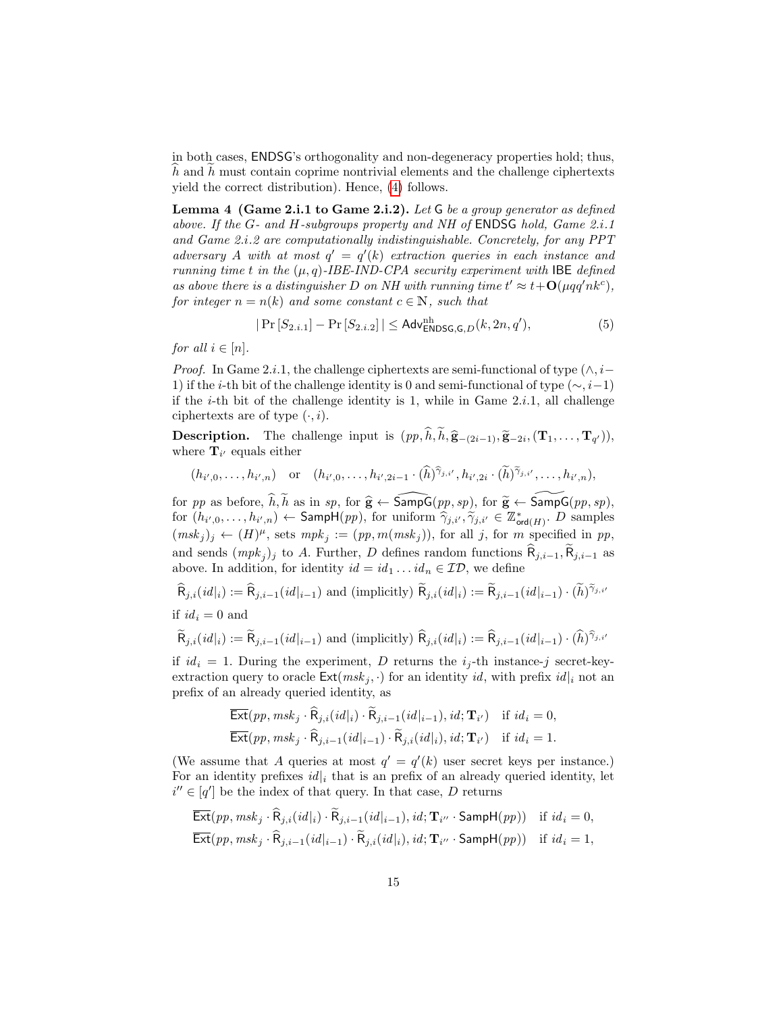in both cases, ENDSG's orthogonality and non-degeneracy properties hold; thus,  $h$  and  $h$  must contain coprime nontrivial elements and the challenge ciphertexts yield the correct distribution). Hence, [\(4\)](#page-13-0) follows.

Lemma 4 (Game 2.i.1 to Game 2.i.2). Let G be a group generator as defined above. If the G- and H-subgroups property and NH of ENDSG hold, Game 2.i.1 and Game 2.i.2 are computationally indistinguishable. Concretely, for any PPT adversary A with at most  $q' = q'(k)$  extraction queries in each instance and running time t in the  $(\mu, q)$ -IBE-IND-CPA security experiment with IBE defined as above there is a distinguisher D on NH with running time  $t' \approx t + O(\mu qq' nk^c)$ , for integer  $n = n(k)$  and some constant  $c \in \mathbb{N}$ , such that

<span id="page-14-0"></span>
$$
|\Pr[S_{2,i,1}] - \Pr[S_{2,i,2}]| \leq \mathsf{Adv}^{nh}_{\mathsf{ENDSG},\mathsf{G},D}(k, 2n, q'),
$$
\n(5)

for all  $i \in [n]$ .

*Proof.* In Game 2.*i*.1, the challenge ciphertexts are semi-functional of type  $(\wedge, i-)$ 1) if the *i*-th bit of the challenge identity is 0 and semi-functional of type ( $\sim$ , *i*-1) if the *i*-th bit of the challenge identity is 1, while in Game  $2.i.1$ , all challenge ciphertexts are of type  $(\cdot, i)$ .

**Description.** The challenge input is  $(pp, h, h, \hat{\mathbf{g}}_{-(2i-1)}, \tilde{\mathbf{g}}_{-2i}, (\mathbf{T}_1, \ldots, \mathbf{T}_{q'})),$ <br>where  $\mathbf{T}_n$  equals either where  $\mathbf{T}_{i'}$  equals either

$$
(h_{i',0},...,h_{i',n})
$$
 or  $(h_{i',0},...,h_{i',2i-1}\cdot(\widehat{h})^{\widehat{\gamma}_{j,i'}},h_{i',2i}\cdot(\widetilde{h})^{\widetilde{\gamma}_{j,i'}},...,h_{i',n}),$ 

for pp as before,  $\widehat{h}, \widetilde{h}$  as in sp, for  $\widehat{g} \leftarrow \widehat{\mathsf{SampG}} (pp, sp)$ , for  $\widetilde{g} \leftarrow \widetilde{\mathsf{SampG}} (pp, sp)$ , for  $(h_{i',0}, \ldots, h_{i',n}) \leftarrow \textsf{Sampl}(pp)$ , for uniform  $\hat{\gamma}_{j,i'}, \tilde{\gamma}_{j,i'} \in \mathbb{Z}^*_{\textsf{ord}(H)}$ . D samples  $(msk_j)_j \leftarrow (H)^{\mu}$ , sets  $mpk_j := (pp, m(msk_j))$ , for all j, for m specified in pp, and sends  $(mpk_j)$  to A. Further, D defines random functions  $R_{j,i-1}, R_{j,i-1}$  as above. In addition, for identity  $id = id_1 \dots id_n \in \mathcal{ID}$ , we define

 $\widehat{\mathsf{R}}_{j,i}(id|_i) := \widehat{\mathsf{R}}_{j,i-1}(id|_{i-1})$  and (implicitly)  $\widetilde{\mathsf{R}}_{j,i}(id|_i) := \widetilde{\mathsf{R}}_{j,i-1}(id|_{i-1}) \cdot (\widetilde{h})^{\widetilde{\gamma}_{j,i}}$ 

if 
$$
id_i = 0
$$
 and

$$
\widetilde{\mathsf{R}}_{j,i}(id|_i) := \widetilde{\mathsf{R}}_{j,i-1}(id|_{i-1}) \text{ and (implicitly) } \widehat{\mathsf{R}}_{j,i}(id|_i) := \widehat{\mathsf{R}}_{j,i-1}(id|_{i-1}) \cdot (\widehat{h})^{\widehat{\gamma}_{j,i'}}
$$

if  $id_i = 1$ . During the experiment, D returns the  $i_j$ -th instance-j secret-keyextraction query to oracle  $\textsf{Ext}(msk_j, \cdot)$  for an identity id, with prefix id<sub>li</sub> not an prefix of an already queried identity, as

$$
\overline{\text{Ext}}(pp, msk_j \cdot \widehat{\mathsf{R}}_{j,i}(id|_i) \cdot \widetilde{\mathsf{R}}_{j,i-1}(id|_{i-1}), id; \mathbf{T}_{i'}) \text{ if } id_i = 0,
$$
  

$$
\overline{\text{Ext}}(pp, msk_j \cdot \widehat{\mathsf{R}}_{j,i-1}(id|_{i-1}) \cdot \widetilde{\mathsf{R}}_{j,i}(id|_i), id; \mathbf{T}_{i'}) \text{ if } id_i = 1.
$$

(We assume that A queries at most  $q' = q'(k)$  user secret keys per instance.) For an identity prefixes  $id|_i$  that is an prefix of an already queried identity, let  $i'' \in [q']$  be the index of that query. In that case, D returns

$$
\overline{\text{Ext}}(pp, msk_j \cdot \widehat{\mathsf{R}}_{j,i}(id|_i) \cdot \widetilde{\mathsf{R}}_{j,i-1}(id|_{i-1}), id; \mathbf{T}_{i''} \cdot \textsf{SampH}(pp)) \text{ if } id_i = 0,
$$
  

$$
\overline{\textsf{Ext}}(pp, msk_j \cdot \widehat{\mathsf{R}}_{j,i-1}(id|_{i-1}) \cdot \widetilde{\mathsf{R}}_{j,i}(id|_i), id; \mathbf{T}_{i''} \cdot \textsf{SampH}(pp)) \text{ if } id_i = 1,
$$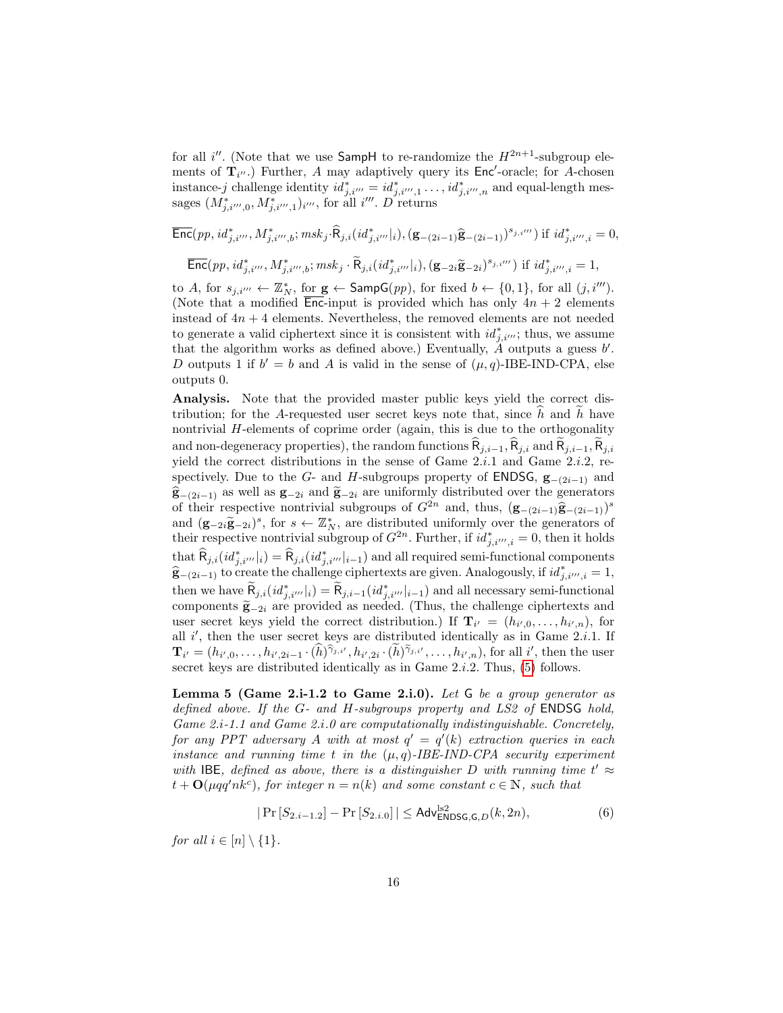for all i''. (Note that we use SampH to re-randomize the  $H^{2n+1}$ -subgroup elements of  $\mathbf{T}_{i''}$ .) Further, A may adaptively query its Enc'-oracle; for A-chosen instance-j challenge identity  $id_{j,i'''}^* = id_{j,i''',1}^* \ldots, id_{j,i''',n}^*$  and equal-length messages  $(M^*_{j,i''',0}, M^*_{j,i''',1})_{i'''}$ , for all  $i'''$ . D returns

$$
\overline{\text{Enc}}(pp, id_{j,i'''}^*, M_{j,i''',b}^*, m s k_j \cdot \widehat{\mathsf{R}}_{j,i} (id_{j,i'''}^*|_i), (\mathbf{g}_{-(2i-1)} \widehat{\mathbf{g}}_{-(2i-1)})^{s_{j,i''}}) \text{ if } id_{j,i''',i}^* = 0,
$$
  

$$
\overline{\text{Enc}}(pp, id_{j,i'''}^*, M_{j,i''',b}^*, m s k_j \cdot \widetilde{\mathsf{R}}_{j,i} (id_{j,i'''}^*|_i), (\mathbf{g}_{-2i} \widetilde{\mathbf{g}}_{-2i})^{s_{j,i'''}}) \text{ if } id_{j,i''',i}^* = 1,
$$

to A, for  $s_{j,i'''} \leftarrow \mathbb{Z}_N^*$ , for  $\mathbf{g} \leftarrow$  SampG $(pp)$ , for fixed  $b \leftarrow \{0,1\}$ , for all  $(j, i''')$ . (Note that a modified  $\overline{\text{Enc}}$ -input is provided which has only  $4n + 2$  elements instead of  $4n + 4$  elements. Nevertheless, the removed elements are not needed to generate a valid ciphertext since it is consistent with  $id_{j,i'''}^*$ ; thus, we assume that the algorithm works as defined above.) Eventually,  $\tilde{A}$  outputs a guess  $b'$ . D outputs 1 if  $b' = b$  and A is valid in the sense of  $(\mu, q)$ -IBE-IND-CPA, else outputs 0.

Analysis. Note that the provided master public keys yield the correct distribution; for the A-requested user secret keys note that, since  $h$  and  $h$  have nontrivial H-elements of coprime order (again, this is due to the orthogonality and non-degeneracy properties), the random functions  $\widehat{R}_{j,i-1}, \widehat{R}_{j,i}$  and  $\widehat{R}_{j,i-1}, \widehat{R}_{j,i}$ yield the correct distributions in the sense of Game  $2.i.1$  and Game  $2.i.2$ , respectively. Due to the G- and H-subgroups property of **ENDSG**,  $\mathbf{g}_{-(2i-1)}$  and  $\hat{\mathbf{g}}_{-(2i-1)}$  as well as  $\mathbf{g}_{-2i}$  and  $\tilde{\mathbf{g}}_{-2i}$  are uniformly distributed over the generators of their respective nontrivial subgroups of  $G^{2n}$  and, thus,  $(g_{-(2i-1)}\hat{g}_{-(2i-1)})^s$ <br>and  $(g_{-\infty}, \tilde{g}_{-\infty})^s$  for  $s \leftarrow \mathbb{Z}^*$  are distributed uniformly over the generators of and  $(\mathbf{g}_{-2i}\tilde{\mathbf{g}}_{-2i})^s$ , for  $s \leftarrow \mathbb{Z}_N^*$ , are distributed uniformly over the generators of their respective pontrivial subgroup of  $C^{2n}$ . Eurther if  $id^* = 0$  then it holds their respective nontrivial subgroup of  $G^{2n}$ . Further, if  $id_{j,i''',i}^* = 0$ , then it holds  $\text{that } \widehat{\mathsf{R}}_{j,i}(\textit{id}^*_{j,i'''}|_i) = \widehat{\mathsf{R}}_{j,i}(\textit{id}^*_{j,i'''}|_{i-1}) \text{ and all required semi-functional components}$  $\hat{\mathbf{g}}_{-(2i-1)}$  to create the challenge ciphertexts are given. Analogously, if  $id_{j,i''',i}^* = 1$ , then we have  $\widetilde{R}_{j,i}(id_{j,i'''}^*|_i) = \widetilde{R}_{j,i-1}(id_{j,i'''}^*|_{i-1})$  and all necessary semi-functional components  $\tilde{\mathbf{g}}_{-2i}$  are provided as needed. (Thus, the challenge ciphertexts and user secret keys yield the correct distribution.) If  $\mathbf{T}_{i'} = (h_{i',0}, \ldots, h_{i',n}),$  for all  $i'$ , then the user secret keys are distributed identically as in Game 2.*i*.1. If  $\mathbf{T}_{i'}=(h_{i',0},\ldots,h_{i',2i-1}\cdot(\widehat{h})^{\widehat{\gamma}_{j,i'}},h_{i',2i}\cdot(\widetilde{h})^{\widetilde{\gamma}_{j,i'}},\ldots,h_{i',n}),$  for all  $i'$ , then the user secret keys are distributed identically as in Game  $2.i.2$ . Thus,  $(5)$  follows.

<span id="page-15-0"></span>Lemma 5 (Game 2.i-1.2 to Game 2.i.0). Let  $G$  be a group generator as defined above. If the G- and H-subgroups property and LS2 of ENDSG hold, Game 2.*i*-1.1 and Game 2.*i*.0 are computationally indistinguishable. Concretely, for any PPT adversary A with at most  $q' = q'(k)$  extraction queries in each instance and running time t in the  $(\mu, q)$ -IBE-IND-CPA security experiment with IBE, defined as above, there is a distinguisher D with running time  $t' \approx$  $t + \mathbf{O}(\mu q q' n k^c)$ , for integer  $n = n(k)$  and some constant  $c \in \mathbb{N}$ , such that

<span id="page-15-1"></span>
$$
|\Pr[S_{2,i-1.2}] - \Pr[S_{2,i.0}]| \leq \mathsf{Adv}_{\mathsf{ENDSG},\mathsf{G},D}^{\mathsf{ls2}}(k,2n),\tag{6}
$$

for all  $i \in [n] \setminus \{1\}.$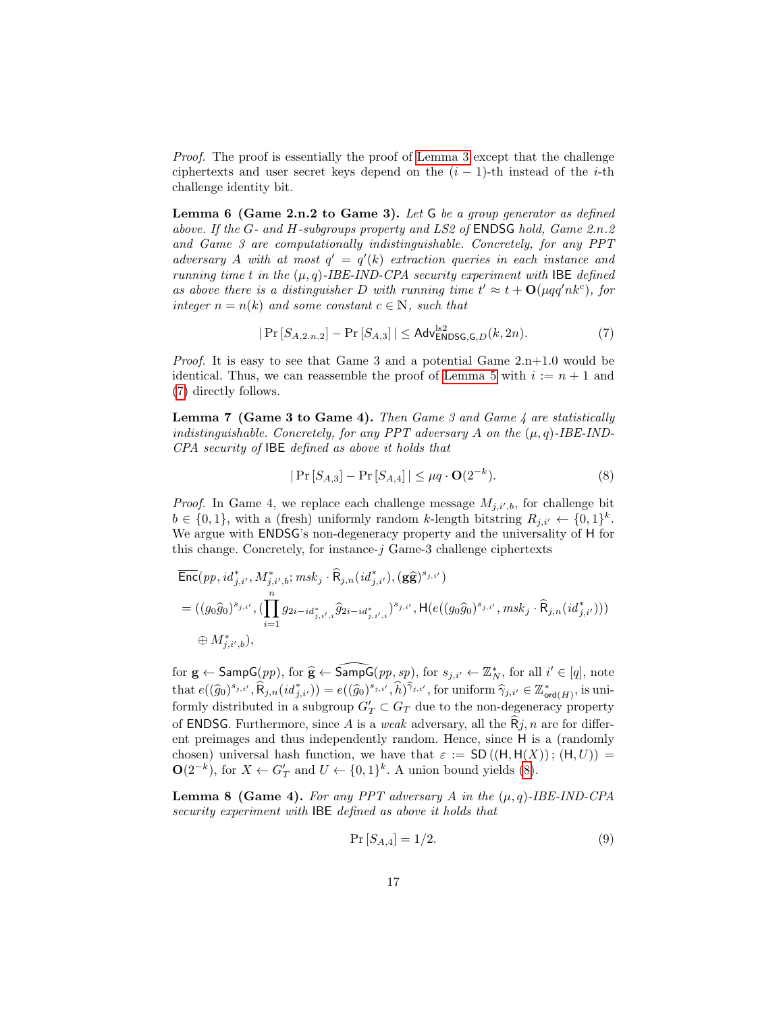Proof. The proof is essentially the proof of [Lemma 3](#page-12-1) except that the challenge ciphertexts and user secret keys depend on the  $(i - 1)$ -th instead of the *i*-th challenge identity bit.

**Lemma 6 (Game 2.n.2 to Game 3).** Let  $G$  be a group generator as defined above. If the G- and H-subgroups property and LS2 of ENDSG hold, Game 2.n.2 and Game 3 are computationally indistinguishable. Concretely, for any PPT adversary A with at most  $q' = q'(k)$  extraction queries in each instance and running time t in the  $(\mu, q)$ -IBE-IND-CPA security experiment with IBE defined as above there is a distinguisher D with running time  $t' \approx t + O(\mu qq' n k^c)$ , for integer  $n = n(k)$  and some constant  $c \in \mathbb{N}$ , such that

<span id="page-16-0"></span>
$$
|\Pr\left[S_{A,2,n.2}\right] - \Pr\left[S_{A,3}\right]| \le \mathsf{Adv}_{\mathsf{ENDSG},\mathsf{G},D}^{\mathsf{ls2}}(k,2n). \tag{7}
$$

*Proof.* It is easy to see that Game 3 and a potential Game  $2.n+1.0$  would be identical. Thus, we can reassemble the proof of [Lemma 5](#page-15-0) with  $i := n + 1$  and [\(7\)](#page-16-0) directly follows.

**Lemma 7 (Game 3 to Game 4).** Then Game 3 and Game 4 are statistically indistinguishable. Concretely, for any PPT adversary A on the  $(\mu, q)$ -IBE-IND-CPA security of IBE defined as above it holds that

<span id="page-16-1"></span>
$$
|\Pr[S_{A,3}] - \Pr[S_{A,4}]| \le \mu q \cdot \mathbf{O}(2^{-k}).
$$
\n(8)

*Proof.* In Game 4, we replace each challenge message  $M_{j,i',b}$ , for challenge bit  $b \in \{0,1\}$ , with a (fresh) uniformly random k-length bitstring  $R_{j,i'} \leftarrow \{0,1\}^k$ . We argue with ENDSG's non-degeneracy property and the universality of H for this change. Concretely, for instance- $j$  Game-3 challenge ciphertexts

$$
\begin{aligned} &\overline{\text{Enc}}(pp, id_{j,i'}^*, M_{j,i',b}^*; msk_j \cdot \widehat{\mathsf{R}}_{j,n}(id_{j,i'}^*), (\mathbf{g}\widehat{\mathbf{g}})^{s_{j,i'}}) \\ & = ((g_0\widehat{g}_0)^{s_{j,i'}}, (\prod_{i=1}^n g_{2i-id_{j,i',i}^*} \widehat{g}_{2i-id_{j,i',i}^*})^{s_{j,i'}}, \mathsf{H}(e((g_0\widehat{g}_0)^{s_{j,i'}}, msk_j \cdot \widehat{\mathsf{R}}_{j,n}(id_{j,i'}^*))) \\ & \quad \oplus M_{j,i',b}^*), \end{aligned}
$$

for  $\mathbf{g} \leftarrow$  Samp $G(pp)$ , for  $\widehat{\mathbf{g}} \leftarrow$  Samp $G(pp, sp)$ , for  $s_{j,i'} \leftarrow \mathbb{Z}_N^*$ , for all  $i' \in [q]$ , note that  $e((\widehat{g}_0)^{s_{j,i'}}, \widehat{R}_{j,n}(id^*_{j,i'})) = e((\widehat{g}_0)^{s_{j,i'}}, \widehat{h})^{\widehat{\gamma}_{j,i'}},$  for uniform  $\widehat{\gamma}_{j,i'} \in \mathbb{Z}_{\text{ord}(H)}^*$ , is uniform  $\widehat{\gamma}_{j,i'} \in \mathbb{Z}_{\text{ord}(H)}^*$ formly distributed in a subgroup  $G_T' \subset G_T$  due to the non-degeneracy property of **ENDSG**. Furthermore, since A is a weak adversary, all the  $\hat{R}j$ , n are for different preimages and thus independently random. Hence, since H is a (randomly chosen) universal hash function, we have that  $\varepsilon := SD((H, H(X))$ ;  $(H, U)) =$  $\mathbf{O}(2^{-k})$ , for  $X \leftarrow G'_T$  and  $U \leftarrow \{0,1\}^k$ . A union bound yields [\(8\)](#page-16-1).

**Lemma 8 (Game 4).** For any PPT adversary A in the  $(\mu, q)$ -IBE-IND-CPA security experiment with IBE defined as above it holds that

<span id="page-16-2"></span>
$$
Pr[S_{A,4}] = 1/2.
$$
\n(9)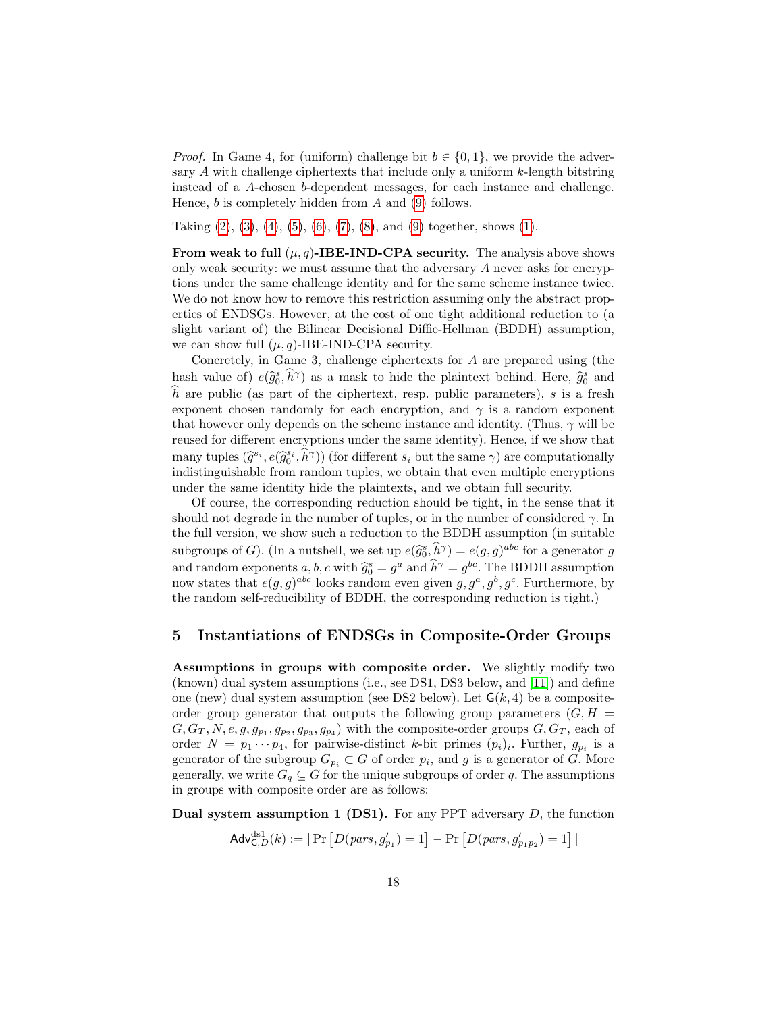*Proof.* In Game 4, for (uniform) challenge bit  $b \in \{0, 1\}$ , we provide the adversary  $\Lambda$  with challenge ciphertexts that include only a uniform  $k$ -length bitstring instead of a A-chosen b-dependent messages, for each instance and challenge. Hence,  $b$  is completely hidden from  $A$  and [\(9\)](#page-16-2) follows.

Taking  $(2)$ ,  $(3)$ ,  $(4)$ ,  $(5)$ ,  $(6)$ ,  $(7)$ ,  $(8)$ , and  $(9)$  together, shows  $(1)$ .

From weak to full  $(\mu, q)$ -IBE-IND-CPA security. The analysis above shows only weak security: we must assume that the adversary A never asks for encryptions under the same challenge identity and for the same scheme instance twice. We do not know how to remove this restriction assuming only the abstract properties of ENDSGs. However, at the cost of one tight additional reduction to (a slight variant of) the Bilinear Decisional Diffie-Hellman (BDDH) assumption, we can show full  $(\mu, q)$ -IBE-IND-CPA security.

Concretely, in Game 3, challenge ciphertexts for A are prepared using (the hash value of)  $e(\hat{g}_0^s, \hat{h}^\gamma)$  as a mask to hide the plaintext behind. Here,  $\hat{g}_0^s$  and  $\hat{h}$  are public (as part of the ciphertext, resp. public parameters), s is a fresh exponent chosen randomly for each encryption, and  $\gamma$  is a random exponent that however only depends on the scheme instance and identity. (Thus,  $\gamma$  will be reused for different encryptions under the same identity). Hence, if we show that many tuples  $(\hat{g}^{s_i}, \hat{e}(\hat{g}^{s_i}, \hat{h}^{\gamma}))$  (for different  $s_i$  but the same  $\gamma$ ) are computationally indictinguishable from random tuples, we obtain that even multiple operations indistinguishable from random tuples, we obtain that even multiple encryptions under the same identity hide the plaintexts, and we obtain full security.

Of course, the corresponding reduction should be tight, in the sense that it should not degrade in the number of tuples, or in the number of considered  $\gamma$ . In the full version, we show such a reduction to the BDDH assumption (in suitable subgroups of G). (In a nutshell, we set up  $e(\hat{g}_0^s, \hat{h}^\gamma) = e(g, g)^{abc}$  for a generator g<br>can generate the set of a smith  $\hat{g}_0^s$  and  $\hat{h}^\gamma$  and  $\hat{h}^\gamma$  and  $\hat{h}^\gamma$  and  $\hat{h}^\gamma$  and  $\hat{h}^\gamma$ and random exponents  $a, b, c$  with  $\hat{g}_0^s = g^a$  and  $\hat{h}^\gamma = g^{bc}$ . The BDDH assumption now states that  $e(g, g)^{abc}$  looks random even given  $g, g^a, g^b, g^c$ . Furthermore, by the random self-reducibility of BDDH, the corresponding reduction is tight.)

### <span id="page-17-0"></span>5 Instantiations of ENDSGs in Composite-Order Groups

Assumptions in groups with composite order. We slightly modify two (known) dual system assumptions (i.e., see DS1, DS3 below, and [\[11\]](#page-23-7)) and define one (new) dual system assumption (see DS2 below). Let  $G(k, 4)$  be a compositeorder group generator that outputs the following group parameters  $(G, H =$  $G, G_T, N, e, g, g_{p_1}, g_{p_2}, g_{p_3}, g_{p_4}$  with the composite-order groups  $G, G_T$ , each of order  $N = p_1 \cdots p_4$ , for pairwise-distinct k-bit primes  $(p_i)_i$ . Further,  $g_{p_i}$  is a generator of the subgroup  $G_{p_i} \subset G$  of order  $p_i$ , and g is a generator of G. More generally, we write  $G_q \subseteq G$  for the unique subgroups of order q. The assumptions in groups with composite order are as follows:

**Dual system assumption 1 (DS1).** For any PPT adversary  $D$ , the function

$$
\mathsf{Adv}_{\mathsf{G},D}^{\text{ds1}}(k) := |\Pr\left[D(\text{pars}, g_{p_1}') = 1\right] - \Pr\left[D(\text{pars}, g_{p_1p_2}') = 1\right]|
$$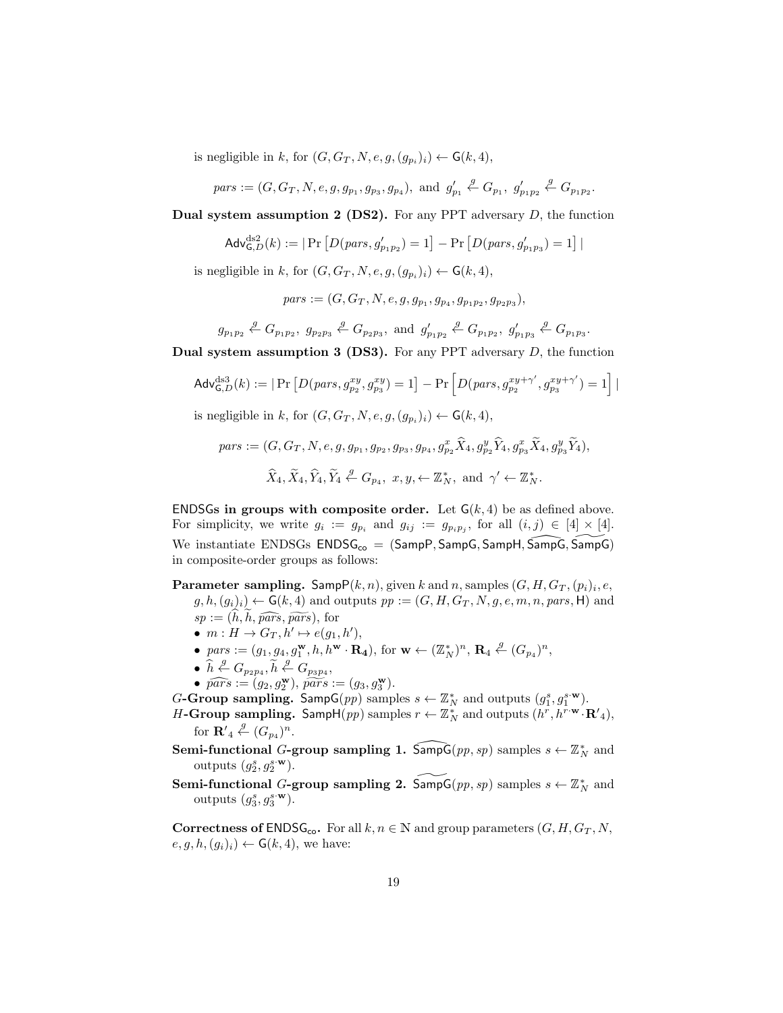is negligible in k, for  $(G, G_T, N, e, g, (g_{p_i})_i) \leftarrow \mathsf{G}(k, 4),$ 

$$
\mathit{pars} := (G, G_T, N, e, g, g_{p_1}, g_{p_3}, g_{p_4}), \text{ and } \; g'_{p_1} \stackrel{g}{\leftarrow} G_{p_1}, \; g'_{p_1p_2} \stackrel{g}{\leftarrow} G_{p_1p_2}.
$$

**Dual system assumption 2 (DS2).** For any PPT adversary  $D$ , the function

$$
\mathsf{Adv}_{\mathsf{G},D}^{\text{ds2}}(k) := |\Pr\left[D(\mathit{pars}, g'_{p_1p_2}) = 1\right] - \Pr\left[D(\mathit{pars}, g'_{p_1p_3}) = 1\right]|
$$

is negligible in k, for  $(G, G_T, N, e, g, (g_{p_i})_i) \leftarrow \mathsf{G}(k, 4),$ 

 $pars := (G, G_T, N, e, g, g_{p_1}, g_{p_4}, g_{p_1p_2}, g_{p_2p_3}),$ 

 $g_{p_1p_2} \n\overset{g}{\leftarrow} G_{p_1p_2}, \ g_{p_2p_3} \overset{g}{\leftarrow} G_{p_2p_3}, \text{ and } g'_{p_1p_2} \overset{g}{\leftarrow} G_{p_1p_2}, \ g'_{p_1p_3} \overset{g}{\leftarrow} G_{p_1p_3}.$ 

Dual system assumption 3 (DS3). For any PPT adversary  $D$ , the function

$$
\mathsf{Adv}_{\mathsf{G},D}^{\text{ds3}}(k) := |\Pr\left[D(\text{pars}, g_{p_2}^{xy}, g_{p_3}^{xy}) = 1\right] - \Pr\left[D(\text{pars}, g_{p_2}^{xy+\gamma'}, g_{p_3}^{xy+\gamma'}) = 1\right]|
$$
  
is negligible in  $k$ , for  $(G, G_T, N, e, g, (g_{p_i})_i) \leftarrow \mathsf{G}(k, 4)$ ,

 $pars := (G, G_T, N, e, g, g_{p_1}, g_{p_2}, g_{p_3}, g_{p_4}, g_{p_2}^x \hat{X}_4, g_{p_2}^y \hat{Y}_4, g_{p_3}^x \hat{X}_4, g_{p_3}^y \hat{Y}_4),$ 

$$
\widehat{X}_4, \widetilde{X}_4, \widehat{Y}_4, \widetilde{Y}_4 \stackrel{g}{\leftarrow} G_{p_4}, x, y, \leftarrow \mathbb{Z}_N^*, \text{ and } \gamma' \leftarrow \mathbb{Z}_N^*.
$$

ENDSGs in groups with composite order. Let  $G(k, 4)$  be as defined above. For simplicity, we write  $g_i := g_{p_i}$  and  $g_{ij} := g_{p_i p_j}$ , for all  $(i, j) \in [4] \times [4]$ . We instantiate ENDSGs  $\text{ENDSG}_{\text{co}} = (\text{SampP}, \text{SampG}, \text{SampH}, \overline{\text{SampG}}, \overline{\text{SampG}})$ in composite-order groups as follows:

**Parameter sampling.** Samp $P(k, n)$ , given k and n, samples  $(G, H, G_T, (p_i)_i, e,$  $g, h, (g_i)_i \leftarrow G(k, 4)$  and outputs  $pp := (G, H, G_T, N, g, e, m, n, pars, H)$  and  $sp := (h, h, \widehat{pars}, \widetilde{pars}),$  for

- $m: H \to G_T, h' \mapsto e(g_1, h'),$
- $pars := (g_1, g_4, g_1^{\mathbf{w}}, h, h^{\mathbf{w}} \cdot \mathbf{R_4}), \text{ for } \mathbf{w} \leftarrow (\mathbb{Z}_N^*)^n, \mathbf{R}_4 \stackrel{g}{\leftarrow} (G_{p_4})^n,$
- $\hat{h}$ ,  $\stackrel{g}{\leftarrow} G_{p_2p_4}, \tilde{h}$ ,  $\stackrel{g}{\leftarrow} G_{p_3p_4},$
- $\widehat{pars} := (g_2, g_2^{\mathbf{w}}), \widehat{pars} := (g_3, g_3^{\mathbf{w}}).$
- G-Group sampling. Samp $G(pp)$  samples  $s \leftarrow \mathbb{Z}_N^*$  and outputs  $(g_1^s, g_1^{s \cdot w})$ .
- H-Group sampling. Samp $H(pp)$  samples  $r \leftarrow \mathbb{Z}_N^*$  and outputs  $(h^r, h^{r \cdot w} \cdot \mathbf{R'}_4)$ , for  $\mathbf{R}'_4 \overset{g}{\leftarrow} (G_{p_4})^n$ .

Semi-functional G-group sampling 1.  $\widehat{\text{SampG}}(pp, sp)$  samples  $s \leftarrow \mathbb{Z}_N^*$  and outputs  $(g_2^s, g_2^{s \cdot \mathbf{w}})$ .

Semi-functional G-group sampling 2.  $\widetilde{\mathsf{SampG}}(pp, sp)$  samples  $s \leftarrow \mathbb{Z}_N^*$  and outputs  $(g_3^s, g_3^{s \cdot \mathbf{w}})$ .

**Correctness of ENDSG<sub>co</sub>.** For all  $k, n \in \mathbb{N}$  and group parameters  $(G, H, G_T, N,$  $e, g, h, (g_i)_i) \leftarrow G(k, 4)$ , we have: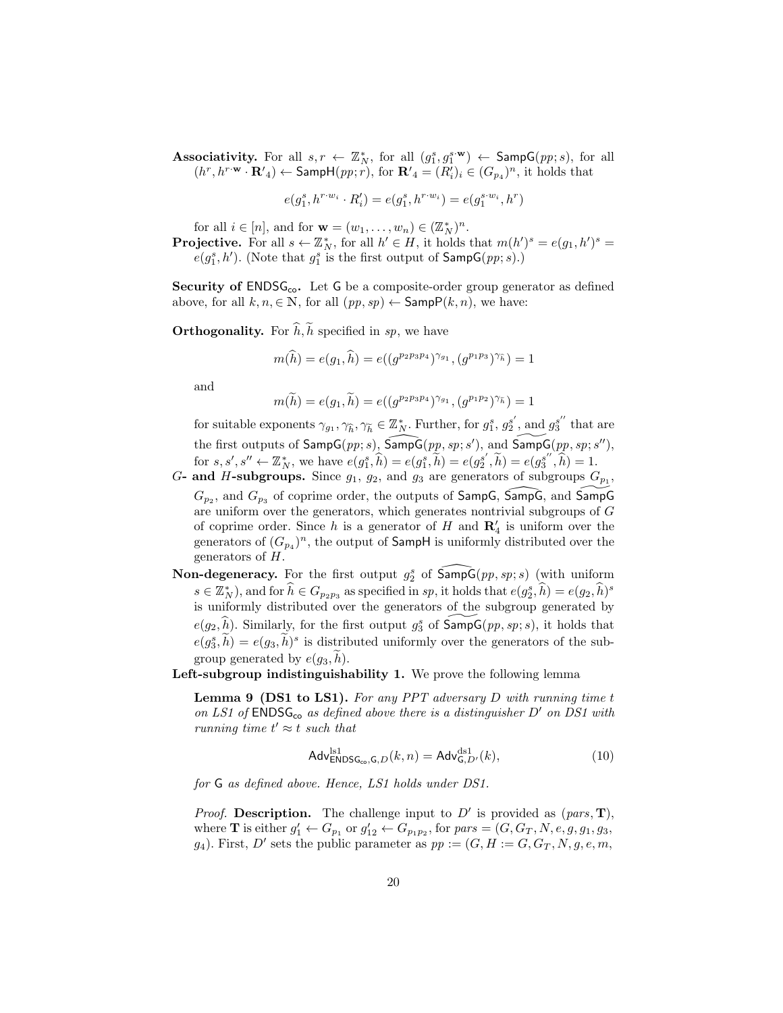Associativity. For all  $s, r \leftarrow \mathbb{Z}_N^*$ , for all  $(g_1^s, g_1^{s \cdot \mathbf{w}}) \leftarrow$  SampG $(pp; s)$ , for all  $(h^r, h^{r \cdot \mathbf{w}} \cdot \mathbf{R'}_4) \leftarrow$  Samp $\mathsf{H}(pp; r)$ , for  $\mathbf{R'}_4 = (R'_i)_i \in (G_{p_4})^n$ , it holds that

$$
e(g^s_1, h^{r\cdot w_i} \cdot R'_i) = e(g^s_1, h^{r\cdot w_i}) = e(g^{s\cdot w_i}_1, h^r)
$$

for all  $i \in [n]$ , and for  $\mathbf{w} = (w_1, \dots, w_n) \in (\mathbb{Z}_N^*)^n$ .

**Projective.** For all  $s \leftarrow \mathbb{Z}_N^*$ , for all  $h' \in H$ , it holds that  $m(h')^s = e(g_1, h')^s$  $e(g_1^s, h')$ . (Note that  $g_1^s$  is the first output of  $\mathsf{SampG}(pp; s)$ .)

Security of ENDSG<sub>co</sub>. Let G be a composite-order group generator as defined above, for all  $k, n \in \mathbb{N}$ , for all  $(pp, sp) \leftarrow$  Samp $P(k, n)$ , we have:

**Orthogonality.** For  $\widehat{h}$ ,  $\widetilde{h}$  specified in sp, we have

$$
m(\widehat{h}) = e(g_1, \widehat{h}) = e((g^{p_2 p_3 p_4})^{\gamma_{g_1}}, (g^{p_1 p_3})^{\gamma_{\widehat{h}}}) = 1
$$

and

$$
m(\widetilde{h}) = e(g_1, \widetilde{h}) = e((g^{p_2 p_3 p_4})^{\gamma_{g_1}}, (g^{p_1 p_2})^{\gamma_{\widetilde{h}}}) = 1
$$

for suitable exponents  $\gamma_{g_1}, \gamma_{\widetilde{h}}, \gamma_{\widetilde{h}} \in \mathbb{Z}_N^*$ . Further, for  $g_1^s, g_2^{s'}$ , and  $g_3^{s''}$  that are the first outputs of  $\mathsf{SampG}(pp; s)$ ,  $\widehat{\mathsf{SampG}}(pp, sp; s')$ , and  $\widehat{\mathsf{SampG}}(pp, sp; s'')$ , for  $s, s', s'' \leftarrow \mathbb{Z}_N^*$ , we have  $e(g_1^s, \widehat{h}) = e(g_1^s, \widetilde{h}) = e(g_2^{s'}, \widetilde{h}) = e(g_3^{s''}, \widehat{h}) = 1$ .

G- and H-subgroups. Since  $g_1, g_2$ , and  $g_3$  are generators of subgroups  $G_{p_1}$ ,  $G_{p_2}$ , and  $G_{p_3}$  of coprime order, the outputs of SampG,  $\widehat{\textsf{SampG}}$ , and  $\widehat{\textsf{SampG}}$ are uniform over the generators, which generates nontrivial subgroups of G of coprime order. Since h is a generator of H and  $\mathbb{R}'_4$  is uniform over the generators of  $(G_{p_4})^n$ , the output of **SampH** is uniformly distributed over the generators of H.

Non-degeneracy. For the first output  $g_2^s$  of  $\widehat{\text{SampG}}(pp, sp; s)$  (with uniform  $s \in \mathbb{Z}_{N}^{*}$ , and for  $\widehat{h} \in G_{p_2p_3}$  as specified in sp, it holds that  $e(g_2^s, \widehat{h}) = e(g_2, \widehat{h})^s$ is uniformly distributed over the generators of the subgroup generated by  $e(g_2, \hat{h})$ . Similarly, for the first output  $g_3^s$  of  $\widetilde{\mathsf{SampG}}(pp, sp; s)$ , it holds that  $e(g_3, \tilde{h}) = e(g_3, \tilde{h})^s$  is distributed uniformly over the generators of the subgroup generated by  $e(q_3, h)$ .

Left-subgroup indistinguishability 1. We prove the following lemma

**Lemma 9 (DS1 to LS1).** For any PPT adversary D with running time  $t$ on LS1 of  $\mathsf{ENDSG}_{\mathsf{co}}$  as defined above there is a distinguisher D' on DS1 with running time  $t' \approx t$  such that

<span id="page-19-0"></span>
$$
\mathsf{Adv}_{\mathsf{ENDSG}_\infty,\mathsf{G},D}^{\mathrm{ls1}}(k,n) = \mathsf{Adv}_{\mathsf{G},D'}^{\mathrm{ds1}}(k),\tag{10}
$$

for G as defined above. Hence, LS1 holds under DS1.

*Proof.* Description. The challenge input to  $D'$  is provided as  $(pars, T)$ , where **T** is either  $g'_1 \leftarrow G_{p_1}$  or  $g'_{12} \leftarrow G_{p_1p_2}$ , for  $pars = (G, G_T, N, e, g, g_1, g_3, g_2, g_3, g_4, g_5, g_6)$  $g_4$ ). First, D' sets the public parameter as  $pp := (G, H := G, G_T, N, g, e, m, g)$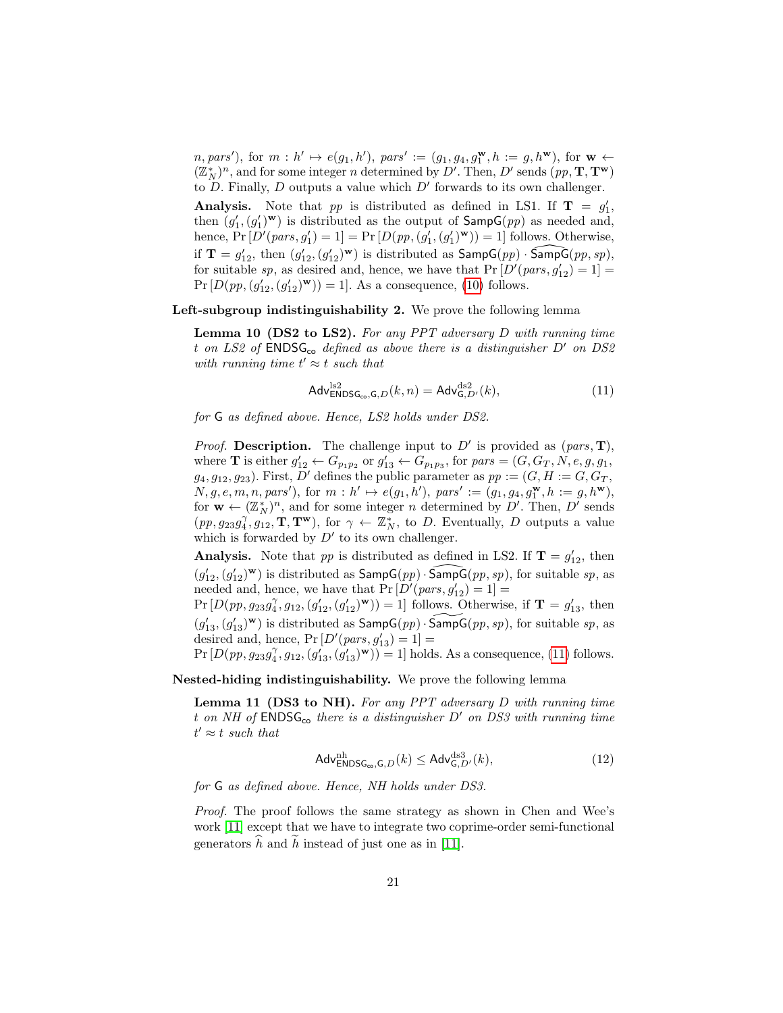$(n, pars'),$  for  $m : h' \mapsto e(g_1, h'),$  pars' :=  $(g_1, g_4, g_1^{\mathbf{w}}, h := g, h^{\mathbf{w}})$ , for  $\mathbf{w} \leftarrow$  $(\mathbb{Z}_N^*)^n,$  and for some integer  $n$  determined by  $D'.$  Then,  $D'$  sends  $(pp,{\mathbf T},{\mathbf T}^{\mathbf w})$ to  $D$ . Finally,  $D$  outputs a value which  $D'$  forwards to its own challenger.

Analysis. Note that pp is distributed as defined in LS1. If  $T = g'_1$ , then  $(g'_1, (g'_1)^w)$  is distributed as the output of  $\textsf{SampG}(pp)$  as needed and, hence,  $Pr[D'(pars, g_1') = 1] = Pr[D(pp, (g_1', (g_1')^{\mathbf{w}})) = 1]$  follows. Otherwise, if  $\mathbf{T} = g'_{12}$ , then  $(g'_{12}, (g'_{12})^w)$  is distributed as  $\textsf{SampG}(pp) \cdot \textsf{SampG}(pp, sp)$ , for suitable sp, as desired and, hence, we have that  $Pr[D'(pars, g'_{12}) = 1] =$  $Pr[D(pp, (g'_{12}, (g'_{12})^{\mathbf{w}})) = 1].$  As a consequence, [\(10\)](#page-19-0) follows.

Left-subgroup indistinguishability 2. We prove the following lemma

**Lemma 10 (DS2 to LS2).** For any PPT adversary D with running time t on LS2 of  $\text{ENDSG}_{\text{co}}$  defined as above there is a distinguisher  $D'$  on DS2 with running time  $t' \approx t$  such that

<span id="page-20-0"></span>
$$
\mathsf{Adv}_{\mathsf{ENDSG}_{\infty},\mathsf{G},D}^{\mathrm{ls2}}(k,n) = \mathsf{Adv}_{\mathsf{G},D'}^{\mathrm{ds2}}(k),\tag{11}
$$

for G as defined above. Hence, LS2 holds under DS2.

*Proof.* Description. The challenge input to  $D'$  is provided as  $(pars, T)$ , where **T** is either  $g'_{12} \leftarrow G_{p_1p_2}$  or  $g'_{13} \leftarrow G_{p_1p_3}$ , for  $pars = (G, G_T, N, e, g, g_1, g_2)$  $g_4, g_{12}, g_{23}$ . First, D' defines the public parameter as  $pp := (G, H := G, G_T,$  $N, g, e, m, n, pars'$ , for  $m : h' \mapsto e(g_1, h')$ , pars' :=  $(g_1, g_4, g_1^{\mathbf{w}}, h := g, h^{\mathbf{w}})$ , for  $\mathbf{w} \leftarrow (\mathbb{Z}_N^*)^n$ , and for some integer *n* determined by D'. Then, D' sends  $(pp, g_{23}g_4^{\gamma}, g_{12}, \mathbf{T}, \mathbf{T}^{\mathbf{w}})$ , for  $\gamma \leftarrow \mathbb{Z}_N^*$ , to D. Eventually, D outputs a value which is forwarded by  $D'$  to its own challenger.

**Analysis.** Note that pp is distributed as defined in LS2. If  $T = g'_{12}$ , then  $(g'_{12}, (g'_{12})^w)$  is distributed as  $\textsf{SampG}(pp) \cdot \widehat{\textsf{SampG}}(pp, sp)$ , for suitable sp, as needed and, hence, we have that  $Pr[D'(pars, g'_{12}) = 1] =$ 

 $Pr[D(pp, g_{23}g_4^{\gamma}, g_{12}, (g'_{12}, (g'_{12})^{\mathbf{w}})) = 1]$  follows. Otherwise, if  $\mathbf{T} = g'_{13}$ , then  $(g'_{13}, (g'_{13})^{\mathbf{w}})$  is distributed as  $\mathsf{SampG} (pp) \cdot \widetilde{\mathsf{SampG}} (pp, sp)$ , for suitable sp, as desired and, hence,  $Pr[D'(pars, g'_{13}) = 1] =$ 

 $Pr[D(pp, g_{23}g_4^{\gamma}, g_{12}, (g'_{13}, (g'_{13})^{\mathbf{w}})) = 1]$  holds. As a consequence, [\(11\)](#page-20-0) follows.

Nested-hiding indistinguishability. We prove the following lemma

**Lemma 11 (DS3 to NH).** For any PPT adversary  $D$  with running time t on NH of  $\mathsf{ENDSG}_{\mathsf{co}}$  there is a distinguisher  $D'$  on DS3 with running time  $t' \approx t$  such that

$$
\mathsf{Adv}^{\mathrm{nh}}_{\mathsf{ENDSG}_{\mathrm{co}},\mathsf{G},D}(k) \le \mathsf{Adv}^{\mathrm{ds3}}_{\mathsf{G},D'}(k),\tag{12}
$$

for G as defined above. Hence, NH holds under DS3.

Proof. The proof follows the same strategy as shown in Chen and Wee's work [\[11\]](#page-23-7) except that we have to integrate two coprime-order semi-functional generators  $\hat{h}$  and  $\tilde{h}$  instead of just one as in [\[11\]](#page-23-7).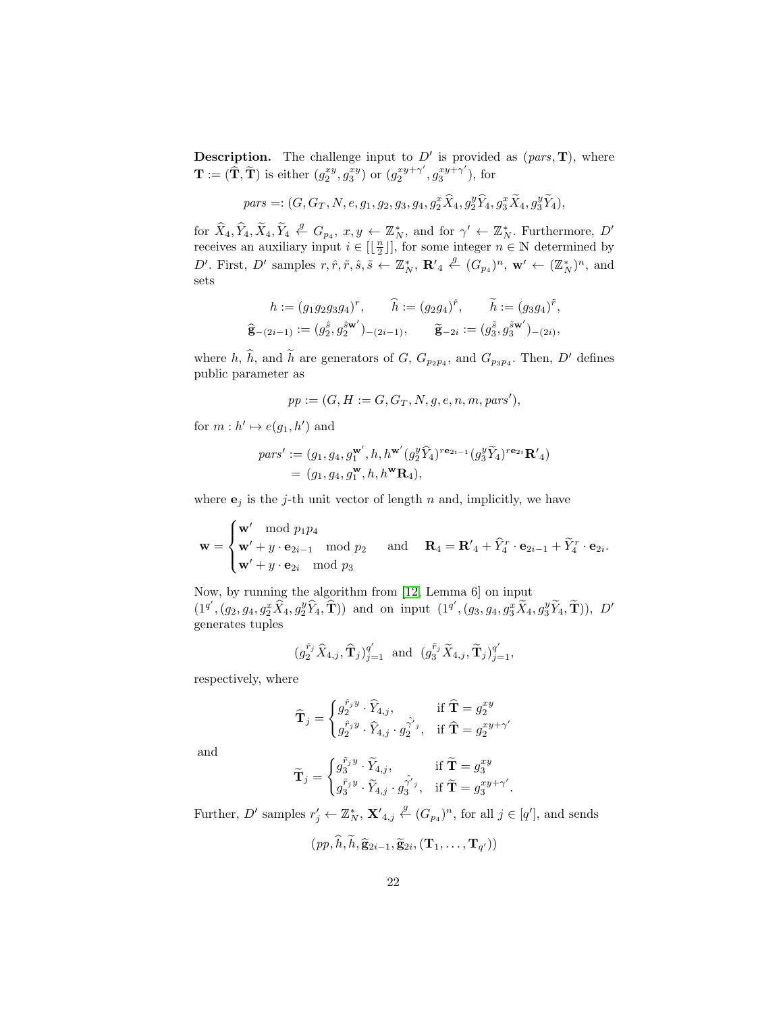**Description.** The challenge input to  $D'$  is provided as  $(pars, T)$ , where  $\mathbf{T} := (\widehat{\mathbf{T}}, \widetilde{\mathbf{T}})$  is either  $(g_2^{xy}, g_3^{xy})$  or  $(g_2^{xy+\gamma'}$  $x^{y+\gamma'}, g_3^{xy+\gamma'}$  $j_3^{xy+\gamma}$ ), for

$$
pars =: (G, G_T, N, e, g_1, g_2, g_3, g_4, g_2^x \hat{X}_4, g_2^y \hat{Y}_4, g_3^x \tilde{X}_4, g_3^y \tilde{Y}_4),
$$

for  $\widehat{X}_4, \widehat{Y}_4, \widetilde{X}_4, \widetilde{Y}_4 \stackrel{g}{\leftarrow} G_{p_4}, x, y \leftarrow \mathbb{Z}_N^*,$  and for  $\gamma' \leftarrow \mathbb{Z}_N^*$ . Furthermore,  $D'$ receives an auxiliary input  $i \in [\lfloor \frac{n}{2} \rfloor]$ , for some integer  $n \in \mathbb{N}$  determined by D'. First, D' samples  $r, \hat{r}, \tilde{r}, \hat{s}, \tilde{s} \leftarrow \mathbb{Z}_N^*$ ,  $\mathbf{R}'_4 \stackrel{\mathcal{G}}{\leftarrow} (G_{p_4})^n$ ,  $\mathbf{w}' \leftarrow (\mathbb{Z}_N^*)^n$ , and sets

$$
h := (g_1 g_2 g_3 g_4)^r, \qquad \widehat{h} := (g_2 g_4)^{\widehat{r}}, \qquad \widetilde{h} := (g_3 g_4)^{\widehat{r}},
$$
  

$$
\widehat{\mathbf{g}}_{-(2i-1)} := (g_2^{\widehat{s}}, g_2^{\widehat{s}\mathbf{w}'})_{-(2i-1)}, \qquad \widetilde{\mathbf{g}}_{-2i} := (g_3^{\widehat{s}}, g_3^{\widehat{s}\mathbf{w}'})_{-(2i)},
$$

where h,  $\hat{h}$ , and  $\hat{h}$  are generators of G,  $G_{p_2p_4}$ , and  $G_{p_3p_4}$ . Then, D' defines public parameter as

$$
pp := (G, H := G, G_T, N, g, e, n, m, pars'),
$$

for  $m: h' \mapsto e(g_1, h')$  and

$$
\begin{split} \mathit{pars'}&:= (g_1,g_4,g_1^{\mathbf{w'}},h,h^{\mathbf{w'}}(g_2^y\widehat{Y}_4)^{r\mathbf{e}_{2i-1}}(g_3^y\widetilde{Y}_4)^{r\mathbf{e}_{2i}}\mathbf{R'}_4)\\ &=(g_1,g_4,g_1^{\mathbf{w}},h,h^{\mathbf{w}}\mathbf{R}_4), \end{split}
$$

where  $\mathbf{e}_j$  is the j-th unit vector of length n and, implicitly, we have

$$
\mathbf{w} = \begin{cases} \mathbf{w}' \mod p_1 p_4 \\ \mathbf{w}' + y \cdot \mathbf{e}_{2i-1} \mod p_2 \\ \mathbf{w}' + y \cdot \mathbf{e}_{2i} \mod p_3 \end{cases} \text{ and } \mathbf{R}_4 = \mathbf{R}'_4 + \widehat{Y}_4^r \cdot \mathbf{e}_{2i-1} + \widetilde{Y}_4^r \cdot \mathbf{e}_{2i}.
$$

Now, by running the algorithm from [\[12,](#page-23-14) Lemma 6] on input  $(1^{q'}, (g_2, g_4, g_2^x \hat{X}_4, g_2^y \hat{Y}_4, \hat{\mathbf{T}}))$  and on input  $(1^{q'}, (g_3, g_4, g_3^x \tilde{X}_4, g_3^y \tilde{Y}_4, \tilde{\mathbf{T}})), D'$ generates tuples

$$
(g_2^{\hat{r}_j}\widehat{X}_{4,j}, \widehat{\mathbf{T}}_j)_{j=1}^{q'} \text{ and } (g_3^{\tilde{r}_j}\widetilde{X}_{4,j}, \widetilde{\mathbf{T}}_j)_{j=1}^{q'},
$$

respectively, where

$$
\widehat{\mathbf{T}}_{j} = \begin{cases} g_{2}^{\hat{r}_{j}y} \cdot \widehat{Y}_{4,j}, & \text{if } \widehat{\mathbf{T}} = g_{2}^{xy} \\ g_{2}^{\hat{r}_{j}y} \cdot \widehat{Y}_{4,j} \cdot g_{2}^{\hat{\gamma}'}{}^{j}, & \text{if } \widehat{\mathbf{T}} = g_{2}^{xy+\gamma'} \end{cases}
$$

and

$$
\widetilde{\mathbf{T}}_{j} = \begin{cases} g_{3}^{\widetilde{r}_{j}y} \cdot \widetilde{Y}_{4,j}, & \text{if } \widetilde{\mathbf{T}} = g_{3}^{xy} \\ g_{3}^{\widetilde{r}_{j}y} \cdot \widetilde{Y}_{4,j} \cdot g_{3}^{\widetilde{\gamma}^{\prime}{}_{j}}, & \text{if } \widetilde{\mathbf{T}} = g_{3}^{xy+\gamma^{\prime}}. \end{cases}
$$

Further, D' samples  $r'_j \leftarrow \mathbb{Z}_N^*$ ,  $\mathbf{X'}_{4,j} \stackrel{g}{\leftarrow} (G_{p_4})^n$ , for all  $j \in [q']$ , and sends

$$
(pp,\widehat{h},\widetilde{h},\widehat{\mathbf{g}}_{2i-1},\widetilde{\mathbf{g}}_{2i},(\mathbf{T}_1,\ldots,\mathbf{T}_{q'}))
$$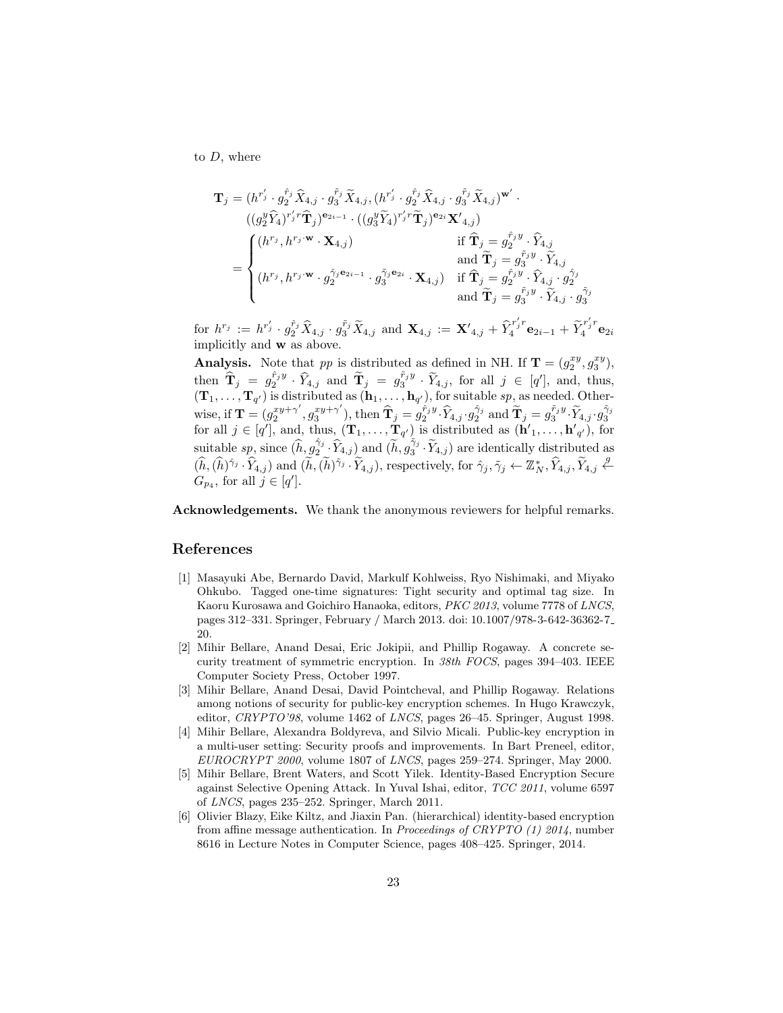to  $D$ , where

$$
\mathbf{T}_{j} = (h^{r'_{j}} \cdot g_{2}^{\hat{r}_{j}} \hat{X}_{4,j} \cdot g_{3}^{\tilde{r}_{j}} \tilde{X}_{4,j}, (h^{r'_{j}} \cdot g_{2}^{\hat{r}_{j}} \hat{X}_{4,j} \cdot g_{3}^{\tilde{r}_{j}} \tilde{X}_{4,j})^{\mathbf{w'}} \cdot \n((g_{2}^{y} \hat{Y}_{4})^{r'_{j}r} \hat{\mathbf{T}}_{j})^{\mathbf{e}_{2i-1}} \cdot ((g_{3}^{y} \tilde{Y}_{4})^{r'_{j}r} \tilde{\mathbf{T}}_{j})^{\mathbf{e}_{2i}} \mathbf{X'}_{4,j}) \qquad \text{if } \hat{\mathbf{T}}_{j} = g_{2}^{\hat{r}_{j}y} \cdot \hat{Y}_{4,j} \n= \begin{cases} (h^{r_{j}}, h^{r_{j} \cdot \mathbf{w}} \cdot \mathbf{X}_{4,j}) & \text{if } \hat{\mathbf{T}}_{j} = g_{2}^{\hat{r}_{j}y} \cdot \hat{Y}_{4,j} \text{and } \tilde{\mathbf{T}}_{j} = g_{3}^{\tilde{r}_{j}y} \cdot \tilde{Y}_{4,j} \end{cases} (h^{r_{j}}, h^{r_{j} \cdot \mathbf{w}} \cdot g_{2}^{\hat{\gamma}_{j} \cdot \mathbf{e}_{2i-1}} \cdot g_{3}^{\tilde{\gamma}_{j} \cdot \mathbf{e}_{2i}} \cdot \mathbf{X}_{4,j}) & \text{if } \hat{\mathbf{T}}_{j} = g_{2}^{\tilde{r}_{j}y} \cdot \hat{Y}_{4,j} \cdot g_{2}^{\tilde{\gamma}_{j}} \text{and } \tilde{\mathbf{T}}_{j} = g_{3}^{\tilde{r}_{j}y} \cdot \tilde{Y}_{4,j} \cdot g_{3}^{\tilde{\gamma}_{j}} \end{cases}
$$

for  $h^{r_j} := h^{r'_j} \cdot g_2^{\hat{r}_j} \hat{X}_{4,j} \cdot g_3^{\tilde{r}_j} \tilde{X}_{4,j}$  and  $\mathbf{X}_{4,j} := \mathbf{X}'_{4,j} + \hat{Y}_4^{r'_j r}$  $\widetilde{\mathbf{q}}_4^{r'_jr}\mathbf{e}_{2i-1}+\widetilde{Y}_4^{r'_jr}$  $\frac{a}{4}$ <sup>*i*</sup>  $\mathbf{e}_{2i}$ implicitly and w as above.

**Analysis.** Note that pp is distributed as defined in NH. If  $\mathbf{T} = (g_2^{xy}, g_3^{xy})$ , then  $\hat{\mathbf{T}}_j = g_2^{\hat{r}_j y} \cdot \hat{Y}_{4,j}$  and  $\tilde{\mathbf{T}}_j = g_3^{\tilde{r}_j y} \cdot \tilde{Y}_{4,j}$ , for all  $j \in [q']$ , and, thus,  $({\bf T}_1,\ldots,{\bf T}_{q'})$  is distributed as  $({\bf h}_1,\ldots,{\bf h}_{q'})$ , for suitable sp, as needed. Otherwise, if  $\mathbf{T} = (g_2^{xy+\gamma'} )$  $x^{y+\gamma'}, g_3^{xy+\gamma'}$ wise, if  $\mathbf{T} = (g_2^{xy+\gamma'}, g_3^{xy+\gamma'}),$  then  $\widehat{\mathbf{T}}_j = g_2^{\hat{r}_jy} \cdot \widehat{Y}_{4,j} \cdot g_2^{\hat{\gamma}_j}$  and  $\widetilde{\mathbf{T}}_j = g_3^{\tilde{r}_jy} \cdot \widetilde{Y}_{4,j} \cdot g_3^{\tilde{\gamma}_j}$  for all  $j \in [q'],$  and, thus,  $(\mathbf{T}_1, \ldots, \mathbf{T}_{q'})$  is distributed as  $(\mathbf{$ suitable  $sp$ , since  $(\hat{h}, g_2^{\hat{\gamma}_j} \cdot \hat{Y}_{4,j})$  and  $(\tilde{h}, g_3^{\hat{\gamma}_j} \cdot \tilde{Y}_{4,j})$  are identically distributed as  $(\widehat{h},(\widehat{h})^{\hat{\gamma}_j}\cdot\widehat{Y}_{4,j})$  and  $(\widetilde{h},(\widetilde{h})^{\tilde{\gamma}_j}\cdot\widetilde{Y}_{4,j})$ , respectively, for  $\hat{\gamma}_j, \tilde{\gamma}_j \leftarrow \mathbb{Z}_N^*, \widehat{Y}_{4,j}, \widetilde{Y}_{4,j} \notin$  $G_{p_4}$ , for all  $j \in [q']$ .

Acknowledgements. We thank the anonymous reviewers for helpful remarks.

## References

- <span id="page-22-3"></span>[1] Masayuki Abe, Bernardo David, Markulf Kohlweiss, Ryo Nishimaki, and Miyako Ohkubo. Tagged one-time signatures: Tight security and optimal tag size. In Kaoru Kurosawa and Goichiro Hanaoka, editors, PKC 2013, volume 7778 of LNCS, pages 312–331. Springer, February / March 2013. doi: 10.1007/978-3-642-36362-7 20.
- <span id="page-22-0"></span>[2] Mihir Bellare, Anand Desai, Eric Jokipii, and Phillip Rogaway. A concrete security treatment of symmetric encryption. In  $38th$  FOCS, pages 394–403. IEEE Computer Society Press, October 1997.
- <span id="page-22-1"></span>[3] Mihir Bellare, Anand Desai, David Pointcheval, and Phillip Rogaway. Relations among notions of security for public-key encryption schemes. In Hugo Krawczyk, editor, CRYPTO'98, volume 1462 of LNCS, pages 26–45. Springer, August 1998.
- <span id="page-22-2"></span>[4] Mihir Bellare, Alexandra Boldyreva, and Silvio Micali. Public-key encryption in a multi-user setting: Security proofs and improvements. In Bart Preneel, editor, EUROCRYPT 2000, volume 1807 of LNCS, pages 259–274. Springer, May 2000.
- <span id="page-22-5"></span>[5] Mihir Bellare, Brent Waters, and Scott Yilek. Identity-Based Encryption Secure against Selective Opening Attack. In Yuval Ishai, editor, TCC 2011, volume 6597 of LNCS, pages 235–252. Springer, March 2011.
- <span id="page-22-4"></span>[6] Olivier Blazy, Eike Kiltz, and Jiaxin Pan. (hierarchical) identity-based encryption from affine message authentication. In Proceedings of CRYPTO (1) 2014, number 8616 in Lecture Notes in Computer Science, pages 408–425. Springer, 2014.